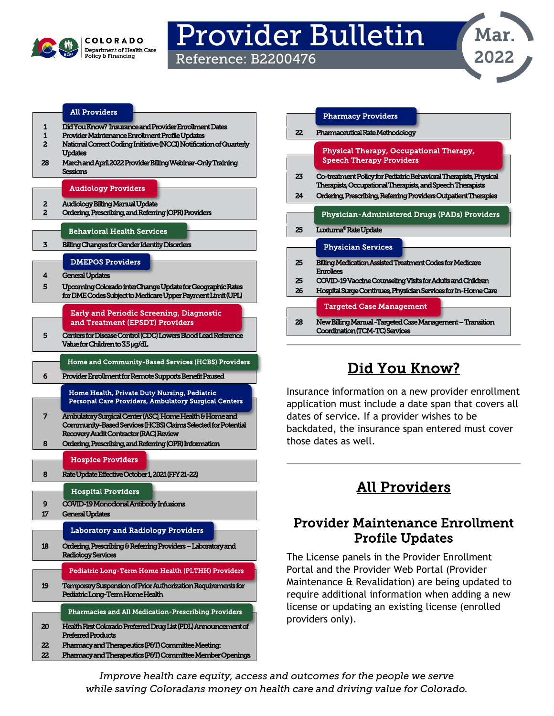

# Provider Bulletin

Reference: B2200476



#### [All Providers](#page-0-2)

- [1 Did You Know?](#page-0-0) Insurance and Provider Enrollment Dat
- [1](#page-0-0) [Provider Maintenance Enrollment Profile Updates](#page-0-1)
- [2 National Correct Coding Initiative \(NCCI\) Notification of Quarterly](#page-1-0)  [Updates](#page-1-0)
- [28 March and April 2022 Provider Billing Webinar-Only Training](#page-27-1)  **Sessions**

#### [Audiology Providers](#page-1-3)

- [2 Audiology Billing Manual Update](#page-1-1)
- [2 Ordering, Prescribing, and Referring \(OPR\) Providers](#page-1-2)

#### [Behavioral Health Services](#page-2-1)

[3 Billing Changes for Gender Identity Disorders](#page-2-0) 

#### [DMEPOS Providers](#page-3-1)

- [4 General Updates](#page-3-0)
- [5 Upcoming Colorado interChange Update for Geographic Rates](#page-4-0)  [for DME Codes Subject to Medicare Upper Payment Limit \(UPL\)](#page-4-0)

#### [Early and Periodic Screening, Diagnostic](#page-4-2)  [and Treatment \(EPSDT\) Providers](#page-4-2)

- [5 Centers for Disease Control \(CDC\) Lowers Blood Lead Reference](#page-4-1)  [Value for Children to 3.5 μg/dL](#page-4-1) 
	- [Home and Community-Based Services \(HCBS\) Providers](#page-5-1)

#### [6 Provider Enrollment for Remote Supports Benefit Paused](#page-5-0)

#### [Home Health, Private Duty Nursing, Pediatric](#page-6-1)  [Personal Care Providers, Ambulatory Surgical Centers](#page-6-1)

[7 Ambulatory Surgical Center \(ASC\), Home Health & Home and](#page-6-0)  [Community-Based Services \(HCBS\) Claims Selected for Potential](#page-6-0)  Recovery Audit Contractor (RAC) Revie

#### [8 Ordering, Prescribing, and Referring \(OPR\) Information](#page-7-0)

#### [Hospice Providers](#page-7-2)

[8 Rate Update Effective October 1, 2021 \(FFY 21-22\)](#page-7-1) 

#### [Hospital Providers](#page-8-1)

- [9 COVID-19 Monoclonal Antibody Infusions](#page-8-0)
- [17 General Updates](#page-16-0)

#### [Laboratory and Radiology Providers](#page-17-1)

[18 Ordering, Prescribing & Referring Providers – Laboratory and](#page-17-0)  [Radiology Services](#page-17-0)

# [Pediatric Long-Term Home Health \(PLTHH\) Providers](#page-18-1)

[19 Temporary Suspension of Prior Authorization Requirements for](#page-18-0)  [Pediatric Long-Term Home Health](#page-18-0) 

#### [20 Health First Colorado Preferred Drug List \(PDL\) Announcement of](#page-19-0)  [Pharmacies and All Medication-Prescribing Providers](#page-19-1)

- [Preferred Products](#page-19-0)  [22 Pharmacy and Therapeutics \(P&T\) Committee Meeting:](#page-21-1)
- [22 Pharmacy and Therapeutics \(P&T\) Committee Member Openings](#page-21-2)

|     | <b>Pharmacy Providers</b>                                                                                                       |
|-----|---------------------------------------------------------------------------------------------------------------------------------|
| 22. | Pharmaceutical Rate Methodology                                                                                                 |
|     |                                                                                                                                 |
|     | Physical Therapy, Occupational Therapy,                                                                                         |
|     | <b>Speech Therapy Providers</b>                                                                                                 |
| 23  | Co-treatment Policy for Pediatric Behavioral Therapists, Physical<br>Therapists, Occupational Therapists, and Speech Therapists |
| 24  | Ordering, Prescribing, Referring Providers Outpatient Therapies                                                                 |
|     |                                                                                                                                 |
|     | Physician-Administered Drugs (PADs) Providers                                                                                   |
|     |                                                                                                                                 |
| 25  | Luxturna® Rate Update                                                                                                           |
|     |                                                                                                                                 |
|     | <b>Physician Services</b>                                                                                                       |
| 25  | Billing Medication Assisted Treatment Codes for Medicare<br><b>Enrollees</b>                                                    |
| 25  |                                                                                                                                 |
| 26  | COVID-19 Vaccine Counseling Visits for Adults and Children                                                                      |
|     | Hospital Surge Continues, Physician Services for In-Home Care                                                                   |
|     | <b>Targeted Case Management</b>                                                                                                 |

# Did You Know?

<span id="page-0-0"></span>Insurance information on a new provider enrollment application must include a date span that covers all dates of service. If a provider wishes to be backdated, the insurance span entered must cover those dates as well.

# All Providers

### <span id="page-0-2"></span><span id="page-0-1"></span>Provider Maintenance Enrollment Profile Updates

The License panels in the Provider Enrollment Portal and the Provider Web Portal (Provider Maintenance & Revalidation) are being updated to require additional information when adding a new license or updating an existing license (enrolled providers only).

*Improve health care equity, access and outcomes for the people we serve while saving Coloradans money on health care and driving value for Colorado.*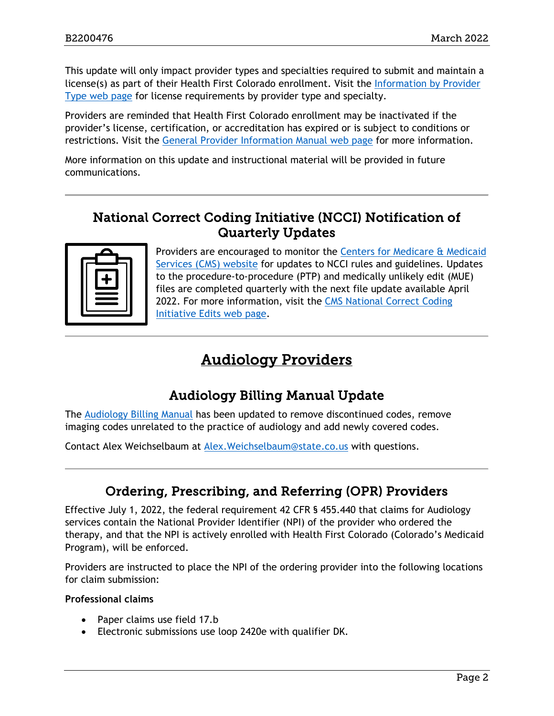This update will only impact provider types and specialties required to submit and maintain a license(s) as part of their Health First Colorado enrollment. Visit the [Information by Provider](https://nam10.safelinks.protection.outlook.com/?url=https%3A%2F%2Fhcpf.colorado.gov%2Ffind-your-provider-type&data=04%7C01%7Cbrennan.r.pruett%40gainwelltechnologies.com%7C090f370350e943f6c4e208d9f22ff2e8%7Cc663f89cef9b418fbd3d41e46c0ce068%7C0%7C0%7C637807110187868426%7CUnknown%7CTWFpbGZsb3d8eyJWIjoiMC4wLjAwMDAiLCJQIjoiV2luMzIiLCJBTiI6Ik1haWwiLCJXVCI6Mn0%3D%7C3000&sdata=%2B64bxHVu5FLUAKq4J2xp45y8y5OYqbxCU60CkG42ktY%3D&reserved=0)  [Type web page](https://nam10.safelinks.protection.outlook.com/?url=https%3A%2F%2Fhcpf.colorado.gov%2Ffind-your-provider-type&data=04%7C01%7Cbrennan.r.pruett%40gainwelltechnologies.com%7C090f370350e943f6c4e208d9f22ff2e8%7Cc663f89cef9b418fbd3d41e46c0ce068%7C0%7C0%7C637807110187868426%7CUnknown%7CTWFpbGZsb3d8eyJWIjoiMC4wLjAwMDAiLCJQIjoiV2luMzIiLCJBTiI6Ik1haWwiLCJXVCI6Mn0%3D%7C3000&sdata=%2B64bxHVu5FLUAKq4J2xp45y8y5OYqbxCU60CkG42ktY%3D&reserved=0) for license requirements by provider type and specialty.

Providers are reminded that Health First Colorado enrollment may be inactivated if the provider's license, certification, or accreditation has expired or is subject to conditions or restrictions. Visit the [General Provider Information Manual web page](https://nam10.safelinks.protection.outlook.com/?url=https%3A%2F%2Fhcpf.colorado.gov%2Fgen-info-manual%23inactEnroll&data=04%7C01%7Cbrennan.r.pruett%40gainwelltechnologies.com%7C090f370350e943f6c4e208d9f22ff2e8%7Cc663f89cef9b418fbd3d41e46c0ce068%7C0%7C0%7C637807110187868426%7CUnknown%7CTWFpbGZsb3d8eyJWIjoiMC4wLjAwMDAiLCJQIjoiV2luMzIiLCJBTiI6Ik1haWwiLCJXVCI6Mn0%3D%7C3000&sdata=PRz3GXFs83liqJwVEXfN4x%2B2CyBKUOiVUPl%2B2Kpx5XI%3D&reserved=0) for more information.

More information on this update and instructional material will be provided in future communications.

### <span id="page-1-0"></span>National Correct Coding Initiative (NCCI) Notification of Quarterly Updates

Providers are encouraged to monitor the [Centers for Medicare & Medicaid](https://www.cms.gov/Medicare/Coding/NCCI-Coding-Edits)  [Services \(CMS\) website](https://www.cms.gov/Medicare/Coding/NCCI-Coding-Edits) for updates to NCCI rules and guidelines. Updates to the procedure-to-procedure (PTP) and medically unlikely edit (MUE) files are completed quarterly with the next file update available April 2022. For more information, visit the [CMS National Correct Coding](https://www.cms.gov/Medicare/Coding/NationalCorrectCodInitEd/index.html)  [Initiative Edits web page.](https://www.cms.gov/Medicare/Coding/NationalCorrectCodInitEd/index.html)

# Audiology Providers

# Audiology Billing Manual Update

<span id="page-1-3"></span><span id="page-1-1"></span>The [Audiology Billing Manual](https://hcpf.colorado.gov/audiology-manual) has been updated to remove discontinued codes, remove imaging codes unrelated to the practice of audiology and add newly covered codes.

Contact Alex Weichselbaum at [Alex.Weichselbaum@state.co.us](mailto:Alex.Weichselbaum@state.co.us) with questions.

# Ordering, Prescribing, and Referring (OPR) Providers

<span id="page-1-2"></span>Effective July 1, 2022, the federal requirement 42 CFR § 455.440 that claims for Audiology services contain the National Provider Identifier (NPI) of the provider who ordered the therapy, and that the NPI is actively enrolled with Health First Colorado (Colorado's Medicaid Program), will be enforced.

Providers are instructed to place the NPI of the ordering provider into the following locations for claim submission:

#### **Professional claims**

- Paper claims use field 17.b
- Electronic submissions use loop 2420e with qualifier DK.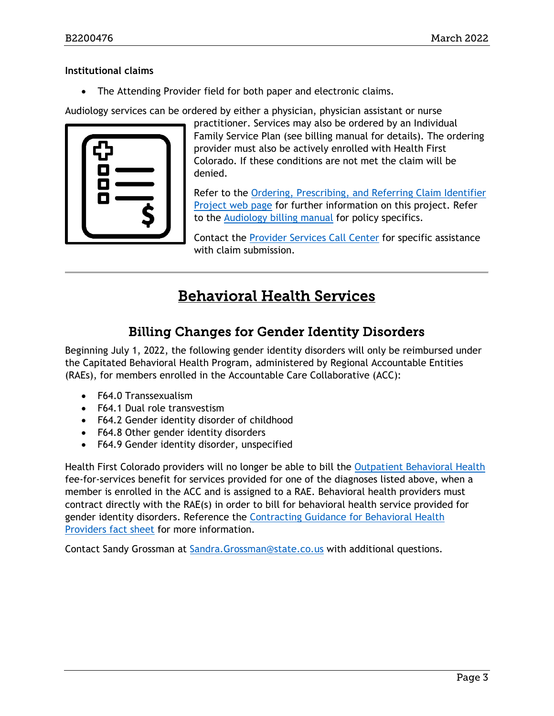#### **Institutional claims**

• The Attending Provider field for both paper and electronic claims.

Audiology services can be ordered by either a physician, physician assistant or nurse



practitioner. Services may also be ordered by an Individual Family Service Plan (see billing manual for details). The ordering provider must also be actively enrolled with Health First Colorado. If these conditions are not met the claim will be denied.

Refer to the [Ordering, Prescribing, and Referring Claim Identifier](https://hcpf.colorado.gov/opr-claims)  [Project web page](https://hcpf.colorado.gov/opr-claims) for further information on this project. Refer to the [Audiology billing manual](https://hcpf.colorado.gov/audiology-manual) for policy specifics.

Contact the [Provider Services Call Center](https://hcpf.colorado.gov/provider-help) for specific assistance with claim submission.

# Behavioral Health Services

# Billing Changes for Gender Identity Disorders

<span id="page-2-1"></span><span id="page-2-0"></span>Beginning July 1, 2022, the following gender identity disorders will only be reimbursed under the Capitated Behavioral Health Program, administered by Regional Accountable Entities (RAEs), for members enrolled in the Accountable Care Collaborative (ACC):

- F64.0 Transsexualism
- F64.1 Dual role transvestism
- F64.2 Gender identity disorder of childhood
- F64.8 Other gender identity disorders
- F64.9 Gender identity disorder, unspecified

Health First Colorado providers will no longer be able to bill the [Outpatient Behavioral Health](https://hcpf.colorado.gov/behavioral-health-ffs-manual) fee-for-services benefit for services provided for one of the diagnoses listed above, when a member is enrolled in the ACC and is assigned to a RAE. Behavioral health providers must contract directly with the RAE(s) in order to bill for behavioral health service provided for gender identity disorders. Reference the [Contracting Guidance for Behavioral Health](https://www.colorado.gov/pacific/sites/default/files/BH%20Provider%20Contracting%20Fact%20Sheet%20May%2030%202018.pdf)  [Providers fact sheet](https://www.colorado.gov/pacific/sites/default/files/BH%20Provider%20Contracting%20Fact%20Sheet%20May%2030%202018.pdf) for more information.

Contact Sandy Grossman at [Sandra.Grossman@state.co.us](mailto:Sandra.Grossman@state.co.us) with additional questions.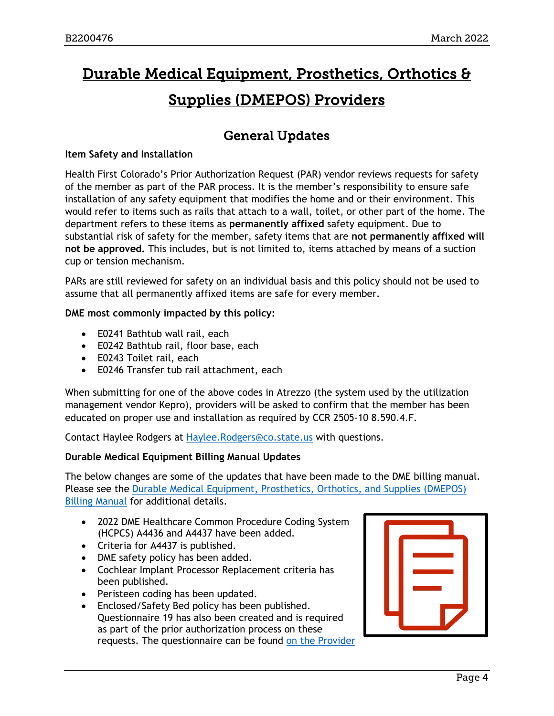# <span id="page-3-1"></span>Durable Medical Equipment, Prosthetics, Orthotics & Supplies (DMEPOS) Providers

# General Updates

#### <span id="page-3-0"></span>**Item Safety and Installation**

Health First Colorado's Prior Authorization Request (PAR) vendor reviews requests for safety of the member as part of the PAR process. It is the member's responsibility to ensure safe installation of any safety equipment that modifies the home and or their environment. This would refer to items such as rails that attach to a wall, toilet, or other part of the home. The department refers to these items as **permanently affixed** safety equipment. Due to substantial risk of safety for the member, safety items that are **not permanently affixed will not be approved.** This includes, but is not limited to, items attached by means of a suction cup or tension mechanism.

PARs are still reviewed for safety on an individual basis and this policy should not be used to assume that all permanently affixed items are safe for every member.

#### **DME most commonly impacted by this policy:**

- E0241 Bathtub wall rail, each
- E0242 Bathtub rail, floor base, each
- E0243 Toilet rail, each
- E0246 Transfer tub rail attachment, each

When submitting for one of the above codes in Atrezzo (the system used by the utilization management vendor Kepro), providers will be asked to confirm that the member has been educated on proper use and installation as required by CCR 2505-10 8.590.4.F.

Contact Haylee Rodgers at [Haylee.Rodgers@co.state.us](mailto:Haylee.Rodgers@co.state.us) with questions.

#### **Durable Medical Equipment Billing Manual Updates**

The below changes are some of the updates that have been made to the DME billing manual. Please see the [Durable Medical Equipment, Prosthetics, Orthotics, and Supplies \(DMEPOS\)](https://hcpf.colorado.gov/DMEPOS-manual)  [Billing Manual](https://hcpf.colorado.gov/DMEPOS-manual) for additional details.

- 2022 DME Healthcare Common Procedure Coding System (HCPCS) A4436 and A4437 have been added.
- Criteria for A4437 is published.
- DME safety policy has been added.
- Cochlear Implant Processor Replacement criteria has been published.
- Peristeen coding has been updated.
- Enclosed/Safety Bed policy has been published. Questionnaire 19 has also been created and is required as part of the prior authorization process on these requests. The questionnaire can be found [on the Provider](https://hcpf.colorado.gov/provider-forms)

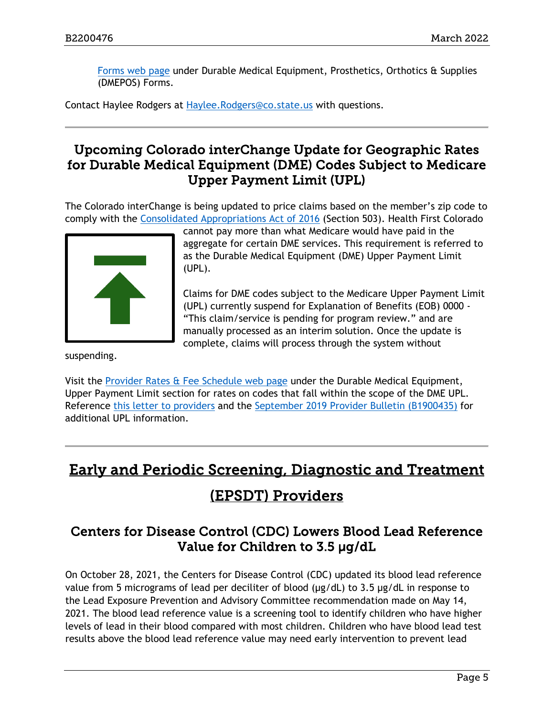[Forms web page](https://hcpf.colorado.gov/provider-forms) under Durable Medical Equipment, Prosthetics, Orthotics & Supplies (DMEPOS) Forms.

Contact Haylee Rodgers at [Haylee.Rodgers@co.state.us](mailto:Haylee.Rodgers@co.state.us) with questions.

### <span id="page-4-0"></span>Upcoming Colorado interChange Update for Geographic Rates for Durable Medical Equipment (DME) Codes Subject to Medicare Upper Payment Limit (UPL)

The Colorado interChange is being updated to price claims based on the member's zip code to comply with the [Consolidated Appropriations Act of 2016](https://www.congress.gov/bill/114th-congress/house-bill/2029/text?q=%7B%22search%22:%5b%22public+law+114-113%22%5d%7D&r=1) (Section 503). Health First Colorado



cannot pay more than what Medicare would have paid in the aggregate for certain DME services. This requirement is referred to as the Durable Medical Equipment (DME) Upper Payment Limit (UPL).

Claims for DME codes subject to the Medicare Upper Payment Limit (UPL) currently suspend for Explanation of Benefits (EOB) 0000 - "This claim/service is pending for program review." and are manually processed as an interim solution. Once the update is complete, claims will process through the system without

suspending.

Visit the [Provider Rates & Fee Schedule web page](https://hcpf.colorado.gov/provider-rates-fee-schedule) under the Durable Medical Equipment, Upper Payment Limit section for rates on codes that fall within the scope of the DME UPL. Reference [this letter to providers](https://hcpf.colorado.gov/sites/hcpf/files/Updates%20%26%20Reminders%20for%20Durable%20Medical%20Equipment%2C%20Prosthetic%2C%20Orthotic%20and%20Supply%20%28DMEPOS%29%20Providers%204-9-2018.pdf) and the [September 2019 Provider Bulletin \(B1900435\)](https://hcpf.colorado.gov/sites/hcpf/files/Bulletin_0919_B1900435.pdf) for additional UPL information.

# <span id="page-4-2"></span>Early and Periodic Screening, Diagnostic and Treatment (EPSDT) Providers

### <span id="page-4-1"></span>Centers for Disease Control (CDC) Lowers Blood Lead Reference Value for Children to 3.5 μg/dL

On October 28, 2021, the Centers for Disease Control (CDC) updated its blood lead reference value from 5 micrograms of lead per deciliter of blood (μg/dL) to 3.5 μg/dL in response to the Lead Exposure Prevention and Advisory Committee recommendation made on May 14, 2021. The blood lead reference value is a screening tool to identify children who have higher levels of lead in their blood compared with most children. Children who have blood lead test results above the blood lead reference value may need early intervention to prevent lead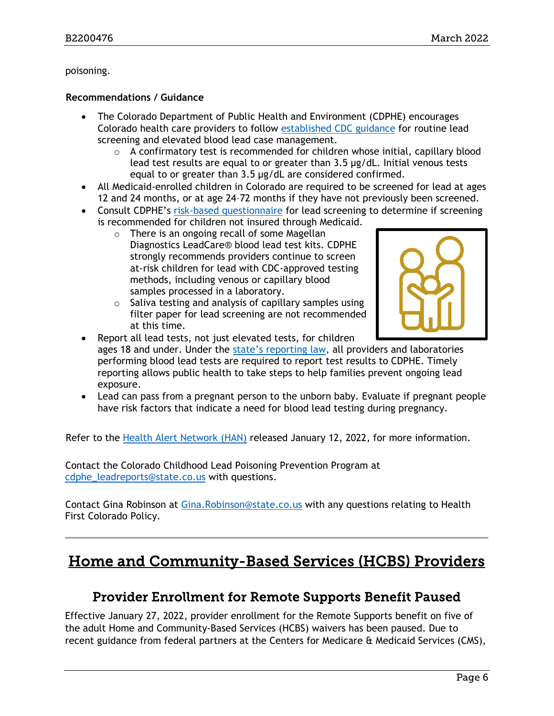#### poisoning.

#### **Recommendations / Guidance**

- The Colorado Department of Public Health and Environment (CDPHE) encourages Colorado health care providers to follow [established CDC guidance](https://www.cdc.gov/nceh/lead/advisory/acclpp/actions-blls.htm) for routine lead screening and elevated blood lead case management.
	- $\circ$  A confirmatory test is recommended for children whose initial, capillary blood lead test results are equal to or greater than 3.5 μg/dL. Initial venous tests equal to or greater than 3.5 μg/dL are considered confirmed.
- All Medicaid-enrolled children in Colorado are required to be screened for lead at ages 12 and 24 months, or at age 24–72 months if they have not previously been screened.
- Consult CDPHE's [risk-based questionnaire](https://drive.google.com/file/d/1kWhJ1QNXTy2d73lZEdUNjTOE_ySLpeZf/view) for lead screening to determine if screening is recommended for children not insured through Medicaid.
	- o There is an ongoing recall of some Magellan Diagnostics LeadCare® blood lead test kits. CDPHE strongly recommends providers continue to screen at-risk children for lead with CDC-approved testing methods, including venous or capillary blood samples processed in a laboratory.
	- $\circ$  Saliva testing and analysis of capillary samples using filter paper for lead screening are not recommended at this time.



- Report all lead tests, not just elevated tests, for children ages 18 and under. Under the state's [reporting law,](https://www.sos.state.co.us/CCR/GenerateRulePdf.do?ruleVersionId=7447&fileName=6%20CCR%201009-7) all providers and laboratories performing blood lead tests are required to report test results to CDPHE. Timely reporting allows public health to take steps to help families prevent ongoing lead exposure.
- Lead can pass from a pregnant person to the unborn baby. Evaluate if pregnant people have risk factors that indicate a need for blood lead testing during pregnancy.

Refer to the [Health Alert Network \(HAN\)](https://drive.google.com/file/d/1dj6kosT8mJTUmROVdzxahk_DYaeP2DQ2/view) released January 12, 2022, for more information.

Contact the Colorado Childhood Lead Poisoning Prevention Program at [cdphe\\_leadreports@state.co.us](mailto:cdphe_leadreports@state.co.us) with questions.

Contact Gina Robinson at [Gina.Robinson@state.co.us](mailto:Gina.Robinson@state.co.us) with any questions relating to Health First Colorado Policy.

# <span id="page-5-1"></span><span id="page-5-0"></span>Home and Community-Based Services (HCBS) Providers

### Provider Enrollment for Remote Supports Benefit Paused

Effective January 27, 2022, provider enrollment for the Remote Supports benefit on five of the adult Home and Community-Based Services (HCBS) waivers has been paused. Due to recent guidance from federal partners at the Centers for Medicare & Medicaid Services (CMS),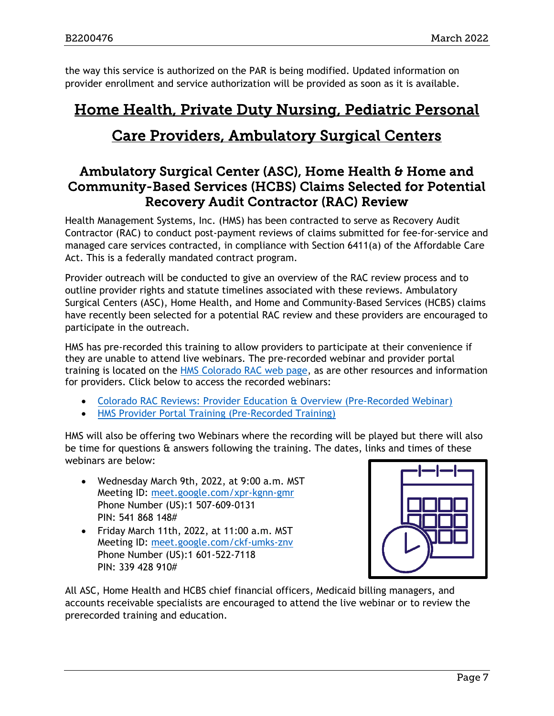the way this service is authorized on the PAR is being modified. Updated information on provider enrollment and service authorization will be provided as soon as it is available.

# <span id="page-6-1"></span>Home Health, Private Duty Nursing, Pediatric Personal Care Providers, Ambulatory Surgical Centers

### <span id="page-6-0"></span>Ambulatory Surgical Center (ASC), Home Health & Home and Community-Based Services (HCBS) Claims Selected for Potential Recovery Audit Contractor (RAC) Review

Health Management Systems, Inc. (HMS) has been contracted to serve as Recovery Audit Contractor (RAC) to conduct post-payment reviews of claims submitted for fee-for-service and managed care services contracted, in compliance with Section 6411(a) of the Affordable Care Act. This is a federally mandated contract program.

Provider outreach will be conducted to give an overview of the RAC review process and to outline provider rights and statute timelines associated with these reviews. Ambulatory Surgical Centers (ASC), Home Health, and Home and Community-Based Services (HCBS) claims have recently been selected for a potential RAC review and these providers are encouraged to participate in the outreach.

HMS has pre-recorded this training to allow providers to participate at their convenience if they are unable to attend live webinars. The pre-recorded webinar and provider portal training is located on the [HMS Colorado RAC web page,](https://resources.hms.com/state/colorado/rac) as are other resources and information for providers. Click below to access the recorded webinars:

- [Colorado RAC Reviews: Provider Education & Overview \(Pre-Recorded Webinar\)](https://resources.hms.com/state/colorado/rac)
- [HMS Provider Portal Training \(Pre-Recorded Training\)](https://f.hubspotusercontent10.net/hubfs/1060/HMS%20Colorado%20RAC%20New%20Portal%20Training-20210430%201603-1%20(2).mp4)

HMS will also be offering two Webinars where the recording will be played but there will also be time for questions & answers following the training. The dates, links and times of these webinars are below:

- Wednesday March 9th, 2022, at 9:00 a.m. MST Meeting ID: meet.google.com/xpr-kgnn-gmr Phone Number (US):1 507-609-0131 PIN: 541 868 148#
- Friday March 11th, 2022, at 11:00 a.m. MST Meeting ID: meet.google.com/ckf-umks-znv Phone Number (US):1 601-522-7118 PIN: 339 428 910#



All ASC, Home Health and HCBS chief financial officers, Medicaid billing managers, and accounts receivable specialists are encouraged to attend the live webinar or to review the prerecorded training and education.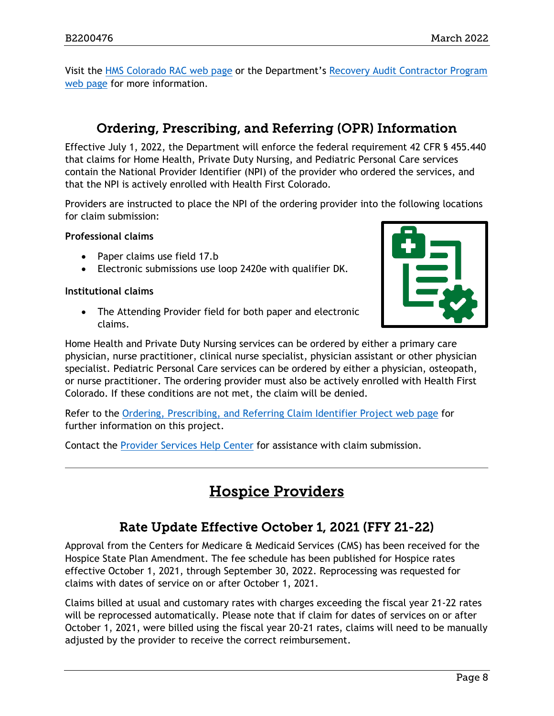Visit the [HMS Colorado RAC web page](https://resources.hms.com/state/colorado/rac) or the Department's [Recovery Audit Contractor Program](https://hcpf.colorado.gov/recovery-audit-contractor-rac-program)  [web page](https://hcpf.colorado.gov/recovery-audit-contractor-rac-program) for more information.

# Ordering, Prescribing, and Referring (OPR) Information

<span id="page-7-0"></span>Effective July 1, 2022, the Department will enforce the federal requirement 42 CFR § 455.440 that claims for Home Health, Private Duty Nursing, and Pediatric Personal Care services contain the National Provider Identifier (NPI) of the provider who ordered the services, and that the NPI is actively enrolled with Health First Colorado.

Providers are instructed to place the NPI of the ordering provider into the following locations for claim submission:

**Professional claims**

- Paper claims use field 17.b
- Electronic submissions use loop 2420e with qualifier DK.

#### **Institutional claims**

• The Attending Provider field for both paper and electronic claims.



Home Health and Private Duty Nursing services can be ordered by either a primary care physician, nurse practitioner, clinical nurse specialist, physician assistant or other physician specialist. Pediatric Personal Care services can be ordered by either a physician, osteopath, or nurse practitioner. The ordering provider must also be actively enrolled with Health First Colorado. If these conditions are not met, the claim will be denied.

Refer to the [Ordering, Prescribing, and Referring Claim Identifier Project web page](https://hcpf.colorado.gov/opr-claims) for further information on this project.

<span id="page-7-2"></span>Contact the [Provider Services Help Center](https://hcpf.colorado.gov/provider-help) for assistance with claim submission.

# Hospice Providers

# Rate Update Effective October 1, 2021 (FFY 21-22)

<span id="page-7-1"></span>Approval from the Centers for Medicare & Medicaid Services (CMS) has been received for the Hospice State Plan Amendment. The fee schedule has been published for Hospice rates effective October 1, 2021, through September 30, 2022. Reprocessing was requested for claims with dates of service on or after October 1, 2021.

Claims billed at usual and customary rates with charges exceeding the fiscal year 21-22 rates will be reprocessed automatically. Please note that if claim for dates of services on or after October 1, 2021, were billed using the fiscal year 20-21 rates, claims will need to be manually adjusted by the provider to receive the correct reimbursement.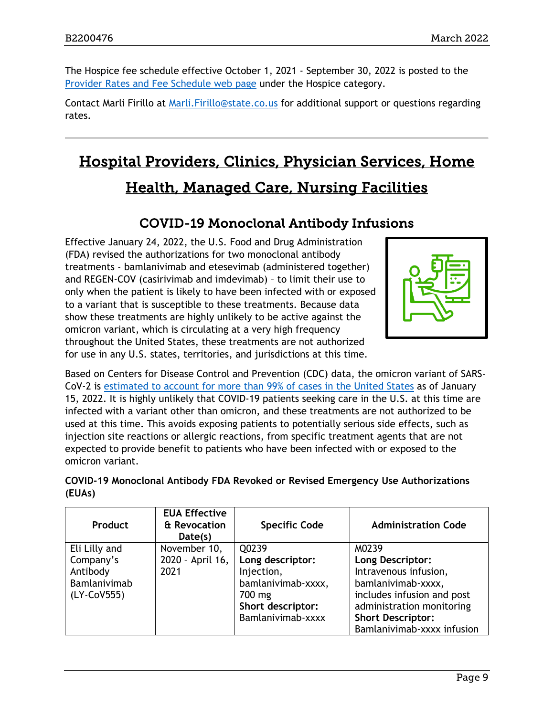The Hospice fee schedule effective October 1, 2021 - September 30, 2022 is posted to the [Provider Rates and Fee Schedule web page](https://hcpf.colorado.gov/provider-rates-fee-schedule#hospiceFee) under the Hospice category.

Contact Marli Firillo at [Marli.Firillo@state.co.us](mailto:Marli.Firillo@state.co.us) for additional support or questions regarding rates.

# <span id="page-8-1"></span>Hospital Providers, Clinics, Physician Services, Home Health, Managed Care, Nursing Facilities

# COVID-19 Monoclonal Antibody Infusions

<span id="page-8-0"></span>Effective January 24, 2022, the U.S. Food and Drug Administration (FDA) revised the authorizations for two monoclonal antibody treatments - bamlanivimab and etesevimab (administered together) and REGEN-COV (casirivimab and imdevimab) – to limit their use to only when the patient is likely to have been infected with or exposed to a variant that is susceptible to these treatments. Because data show these treatments are highly unlikely to be active against the omicron variant, which is circulating at a very high frequency throughout the United States, these treatments are not authorized for use in any U.S. states, territories, and jurisdictions at this time.



Based on Centers for Disease Control and Prevention (CDC) data, the omicron variant of SARS-CoV-2 is [estimated to account for more than 99% of cases in the United States](https://covid.cdc.gov/covid-data-tracker/#monitoring-varaint-heading) as of January 15, 2022. It is highly unlikely that COVID-19 patients seeking care in the U.S. at this time are infected with a variant other than omicron, and these treatments are not authorized to be used at this time. This avoids exposing patients to potentially serious side effects, such as injection site reactions or allergic reactions, from specific treatment agents that are not expected to provide benefit to patients who have been infected with or exposed to the omicron variant.

| COVID-19 Monoclonal Antibody FDA Revoked or Revised Emergency Use Authorizations |  |  |
|----------------------------------------------------------------------------------|--|--|
| (EUAs)                                                                           |  |  |

| <b>Product</b> | <b>EUA Effective</b><br>& Revocation<br>Date(s) | <b>Specific Code</b> | <b>Administration Code</b> |
|----------------|-------------------------------------------------|----------------------|----------------------------|
| Eli Lilly and  | November 10,                                    | Q0239                | M0239                      |
| Company's      | 2020 - April 16,                                | Long descriptor:     | Long Descriptor:           |
| Antibody       | 2021                                            | Injection,           | Intravenous infusion,      |
| Bamlanivimab   |                                                 | bamlanivimab-xxxx,   | bamlanivimab-xxxx,         |
| (LY-CoV555)    |                                                 | 700 mg               | includes infusion and post |
|                |                                                 | Short descriptor:    | administration monitoring  |
|                |                                                 | Bamlanivimab-xxxx    | <b>Short Descriptor:</b>   |
|                |                                                 |                      | Bamlanivimab-xxxx infusion |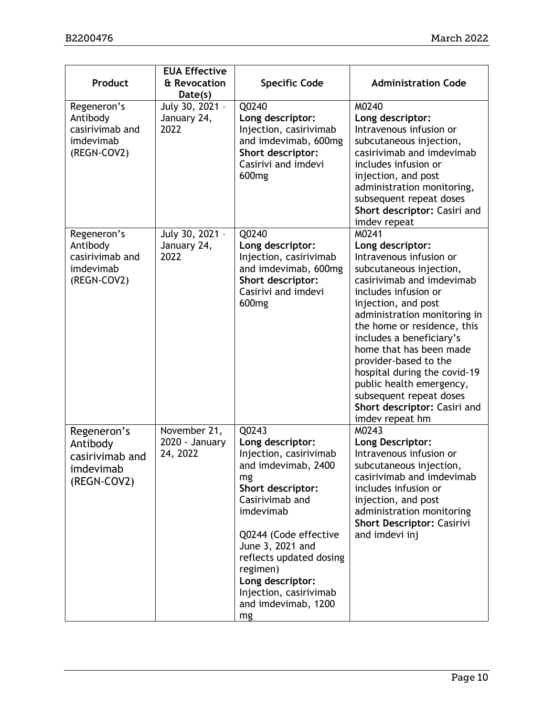| Product                                                                | <b>EUA Effective</b><br>& Revocation<br>Date(s) | <b>Specific Code</b>                                                                                                                                                                                                                                                                                 | <b>Administration Code</b>                                                                                                                                                                                                                                                                                                                                                                                                                           |
|------------------------------------------------------------------------|-------------------------------------------------|------------------------------------------------------------------------------------------------------------------------------------------------------------------------------------------------------------------------------------------------------------------------------------------------------|------------------------------------------------------------------------------------------------------------------------------------------------------------------------------------------------------------------------------------------------------------------------------------------------------------------------------------------------------------------------------------------------------------------------------------------------------|
| Regeneron's<br>Antibody<br>casirivimab and<br>imdevimab<br>(REGN-COV2) | July 30, 2021 -<br>January 24,<br>2022          | Q0240<br>Long descriptor:<br>Injection, casirivimab<br>and imdevimab, 600mg<br>Short descriptor:<br>Casirivi and imdevi<br>600 <sub>mg</sub>                                                                                                                                                         | M0240<br>Long descriptor:<br>Intravenous infusion or<br>subcutaneous injection,<br>casirivimab and imdevimab<br>includes infusion or<br>injection, and post<br>administration monitoring,<br>subsequent repeat doses<br>Short descriptor: Casiri and<br>imdev repeat                                                                                                                                                                                 |
| Regeneron's<br>Antibody<br>casirivimab and<br>imdevimab<br>(REGN-COV2) | July 30, 2021 -<br>January 24,<br>2022          | Q0240<br>Long descriptor:<br>Injection, casirivimab<br>and imdevimab, 600mg<br>Short descriptor:<br>Casirivi and imdevi<br>600mg                                                                                                                                                                     | M0241<br>Long descriptor:<br>Intravenous infusion or<br>subcutaneous injection,<br>casirivimab and imdevimab<br>includes infusion or<br>injection, and post<br>administration monitoring in<br>the home or residence, this<br>includes a beneficiary's<br>home that has been made<br>provider-based to the<br>hospital during the covid-19<br>public health emergency,<br>subsequent repeat doses<br>Short descriptor: Casiri and<br>imdev repeat hm |
| Regeneron's<br>Antibody<br>casirivimab and<br>imdevimab<br>(REGN-COV2) | November 21,<br>2020 - January<br>24, 2022      | Q0243<br>Long descriptor:<br>Injection, casirivimab<br>and imdevimab, 2400<br>mg<br>Short descriptor:<br>Casirivimab and<br>imdevimab<br>Q0244 (Code effective<br>June 3, 2021 and<br>reflects updated dosing<br>regimen)<br>Long descriptor:<br>Injection, casirivimab<br>and imdevimab, 1200<br>mg | M0243<br>Long Descriptor:<br>Intravenous infusion or<br>subcutaneous injection,<br>casirivimab and imdevimab<br>includes infusion or<br>injection, and post<br>administration monitoring<br><b>Short Descriptor: Casirivi</b><br>and imdevi inj                                                                                                                                                                                                      |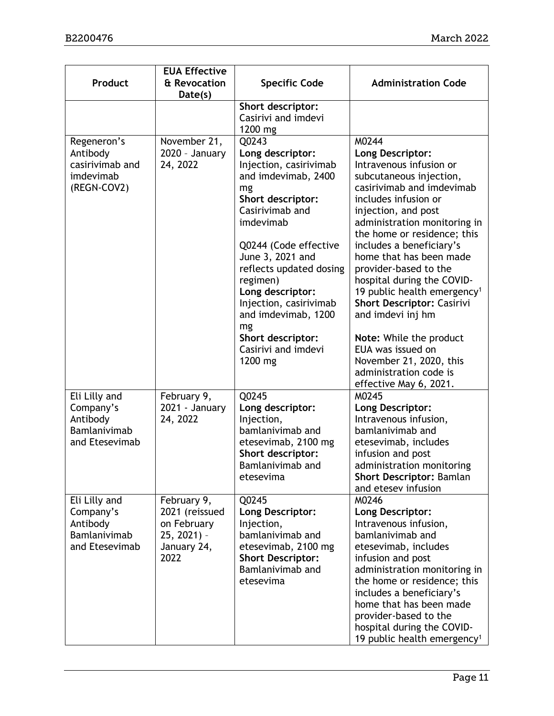| Product                                                                  | <b>EUA Effective</b><br>& Revocation<br>Date(s)                                       | <b>Specific Code</b>                                                                                                                                                                                                                                                                                                                                        | <b>Administration Code</b>                                                                                                                                                                                                                                                                                                                                                                                                                                                                                                                                                   |
|--------------------------------------------------------------------------|---------------------------------------------------------------------------------------|-------------------------------------------------------------------------------------------------------------------------------------------------------------------------------------------------------------------------------------------------------------------------------------------------------------------------------------------------------------|------------------------------------------------------------------------------------------------------------------------------------------------------------------------------------------------------------------------------------------------------------------------------------------------------------------------------------------------------------------------------------------------------------------------------------------------------------------------------------------------------------------------------------------------------------------------------|
|                                                                          |                                                                                       | Short descriptor:<br>Casirivi and imdevi<br>1200 mg                                                                                                                                                                                                                                                                                                         |                                                                                                                                                                                                                                                                                                                                                                                                                                                                                                                                                                              |
| Regeneron's<br>Antibody<br>casirivimab and<br>imdevimab<br>(REGN-COV2)   | November 21,<br>$2020 - January$<br>24, 2022                                          | Q0243<br>Long descriptor:<br>Injection, casirivimab<br>and imdevimab, 2400<br>mg<br>Short descriptor:<br>Casirivimab and<br>imdevimab<br>Q0244 (Code effective<br>June 3, 2021 and<br>reflects updated dosing<br>regimen)<br>Long descriptor:<br>Injection, casirivimab<br>and imdevimab, 1200<br>mg<br>Short descriptor:<br>Casirivi and imdevi<br>1200 mg | M0244<br>Long Descriptor:<br>Intravenous infusion or<br>subcutaneous injection,<br>casirivimab and imdevimab<br>includes infusion or<br>injection, and post<br>administration monitoring in<br>the home or residence; this<br>includes a beneficiary's<br>home that has been made<br>provider-based to the<br>hospital during the COVID-<br>19 public health emergency <sup>1</sup><br><b>Short Descriptor: Casirivi</b><br>and imdevi inj hm<br>Note: While the product<br>EUA was issued on<br>November 21, 2020, this<br>administration code is<br>effective May 6, 2021. |
| Eli Lilly and<br>Company's<br>Antibody<br>Bamlanivimab<br>and Etesevimab | February 9,<br>2021 - January<br>24, 2022                                             | Q0245<br>Long descriptor:<br>Injection,<br>bamlanivimab and<br>etesevimab, 2100 mg<br>Short descriptor:<br>Bamlanivimab and<br>etesevima                                                                                                                                                                                                                    | M0245<br>Long Descriptor:<br>Intravenous infusion,<br>bamlanivimab and<br>etesevimab, includes<br>infusion and post<br>administration monitoring<br><b>Short Descriptor: Bamlan</b><br>and etesev infusion                                                                                                                                                                                                                                                                                                                                                                   |
| Eli Lilly and<br>Company's<br>Antibody<br>Bamlanivimab<br>and Etesevimab | February 9,<br>2021 (reissued<br>on February<br>$25, 2021$ ) -<br>January 24,<br>2022 | Q0245<br>Long Descriptor:<br>Injection,<br>bamlanivimab and<br>etesevimab, 2100 mg<br><b>Short Descriptor:</b><br>Bamlanivimab and<br>etesevima                                                                                                                                                                                                             | M0246<br>Long Descriptor:<br>Intravenous infusion,<br>bamlanivimab and<br>etesevimab, includes<br>infusion and post<br>administration monitoring in<br>the home or residence; this<br>includes a beneficiary's<br>home that has been made<br>provider-based to the<br>hospital during the COVID-<br>19 public health emergency <sup>1</sup>                                                                                                                                                                                                                                  |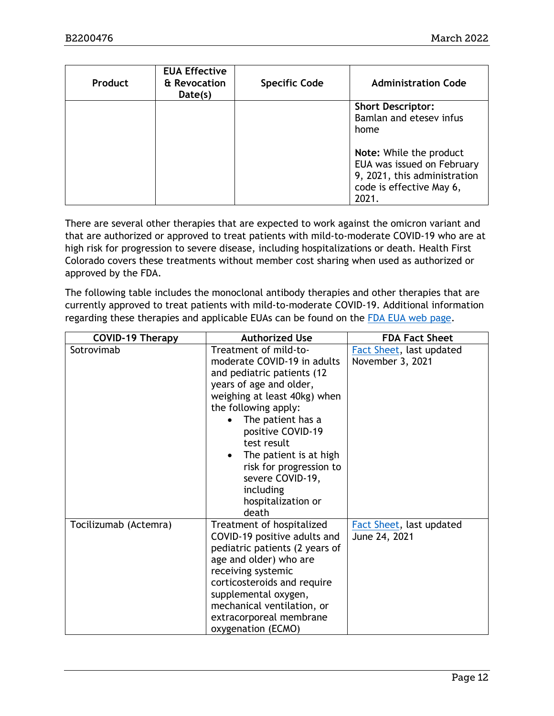| <b>Product</b> | <b>EUA Effective</b><br>& Revocation<br>Date(s) | <b>Specific Code</b> | <b>Administration Code</b>   |
|----------------|-------------------------------------------------|----------------------|------------------------------|
|                |                                                 |                      | <b>Short Descriptor:</b>     |
|                |                                                 |                      | Bamlan and etesey infus      |
|                |                                                 |                      | home                         |
|                |                                                 |                      |                              |
|                |                                                 |                      | Note: While the product      |
|                |                                                 |                      | EUA was issued on February   |
|                |                                                 |                      | 9, 2021, this administration |
|                |                                                 |                      | code is effective May 6,     |
|                |                                                 |                      | 2021.                        |

There are several other therapies that are expected to work against the omicron variant and that are authorized or approved to treat patients with mild-to-moderate COVID-19 who are at high risk for progression to severe disease, including hospitalizations or death. Health First Colorado covers these treatments without member cost sharing when used as authorized or approved by the FDA.

The following table includes the monoclonal antibody therapies and other therapies that are currently approved to treat patients with mild-to-moderate COVID-19. Additional information regarding these therapies and applicable EUAs can be found on the [FDA EUA web page.](https://www.fda.gov/emergency-preparedness-and-response/mcm-legal-regulatory-and-policy-framework/emergency-use-authorization#coviddrugs)

| <b>COVID-19 Therapy</b> | <b>Authorized Use</b>                                                                                                                                                                                                                                                                                                                               | <b>FDA Fact Sheet</b>                        |
|-------------------------|-----------------------------------------------------------------------------------------------------------------------------------------------------------------------------------------------------------------------------------------------------------------------------------------------------------------------------------------------------|----------------------------------------------|
| Sotrovimab              | Treatment of mild-to-<br>moderate COVID-19 in adults<br>and pediatric patients (12<br>years of age and older,<br>weighing at least 40kg) when<br>the following apply:<br>The patient has a<br>positive COVID-19<br>test result<br>The patient is at high<br>risk for progression to<br>severe COVID-19,<br>including<br>hospitalization or<br>death | Fact Sheet, last updated<br>November 3, 2021 |
| Tocilizumab (Actemra)   | Treatment of hospitalized<br>COVID-19 positive adults and<br>pediatric patients (2 years of<br>age and older) who are<br>receiving systemic<br>corticosteroids and require<br>supplemental oxygen,<br>mechanical ventilation, or<br>extracorporeal membrane<br>oxygenation (ECMO)                                                                   | Fact Sheet, last updated<br>June 24, 2021    |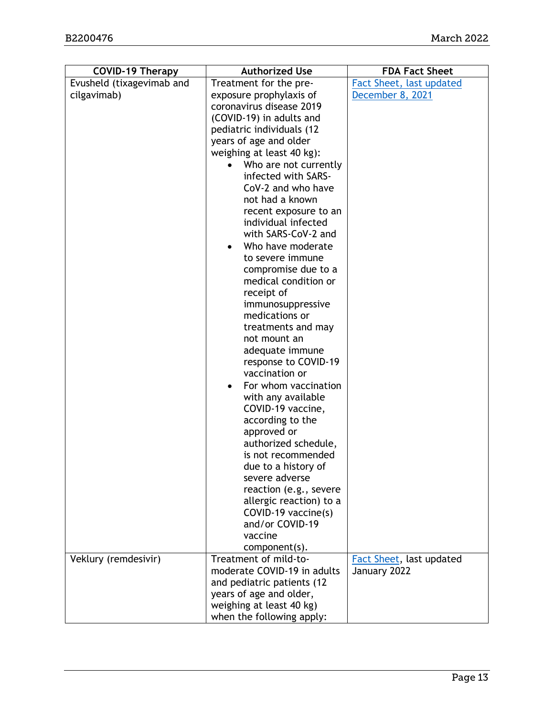| <b>COVID-19 Therapy</b>   | <b>Authorized Use</b>                       | <b>FDA Fact Sheet</b>                    |
|---------------------------|---------------------------------------------|------------------------------------------|
| Evusheld (tixagevimab and | Treatment for the pre-                      | Fact Sheet, last updated                 |
| cilgavimab)               | exposure prophylaxis of                     | December 8, 2021                         |
|                           | coronavirus disease 2019                    |                                          |
|                           | (COVID-19) in adults and                    |                                          |
|                           | pediatric individuals (12                   |                                          |
|                           | years of age and older                      |                                          |
|                           | weighing at least 40 kg):                   |                                          |
|                           | Who are not currently<br>$\bullet$          |                                          |
|                           | infected with SARS-                         |                                          |
|                           | CoV-2 and who have                          |                                          |
|                           | not had a known                             |                                          |
|                           | recent exposure to an                       |                                          |
|                           | individual infected                         |                                          |
|                           | with SARS-CoV-2 and                         |                                          |
|                           | Who have moderate                           |                                          |
|                           | to severe immune                            |                                          |
|                           | compromise due to a<br>medical condition or |                                          |
|                           | receipt of                                  |                                          |
|                           | immunosuppressive                           |                                          |
|                           | medications or                              |                                          |
|                           | treatments and may                          |                                          |
|                           | not mount an                                |                                          |
|                           | adequate immune                             |                                          |
|                           | response to COVID-19                        |                                          |
|                           | vaccination or                              |                                          |
|                           | For whom vaccination                        |                                          |
|                           | with any available                          |                                          |
|                           | COVID-19 vaccine,                           |                                          |
|                           | according to the                            |                                          |
|                           | approved or                                 |                                          |
|                           | authorized schedule,                        |                                          |
|                           | is not recommended                          |                                          |
|                           | due to a history of                         |                                          |
|                           | severe adverse                              |                                          |
|                           | reaction (e.g., severe                      |                                          |
|                           | allergic reaction) to a                     |                                          |
|                           | COVID-19 vaccine(s)                         |                                          |
|                           | and/or COVID-19                             |                                          |
|                           | vaccine                                     |                                          |
|                           | component(s).<br>Treatment of mild-to-      |                                          |
| Veklury (remdesivir)      | moderate COVID-19 in adults                 | Fact Sheet, last updated<br>January 2022 |
|                           | and pediatric patients (12                  |                                          |
|                           | years of age and older,                     |                                          |
|                           | weighing at least 40 kg)                    |                                          |
|                           | when the following apply:                   |                                          |
|                           |                                             |                                          |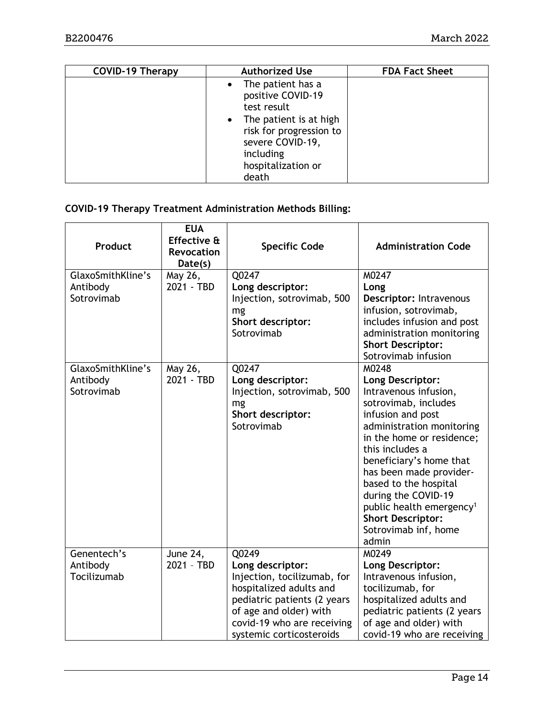| <b>COVID-19 Therapy</b> | <b>Authorized Use</b>                                                                                                                                                          | <b>FDA Fact Sheet</b> |
|-------------------------|--------------------------------------------------------------------------------------------------------------------------------------------------------------------------------|-----------------------|
|                         | • The patient has a<br>positive COVID-19<br>test result<br>• The patient is at high<br>risk for progression to<br>severe COVID-19,<br>including<br>hospitalization or<br>death |                       |

#### **COVID-19 Therapy Treatment Administration Methods Billing:**

| Product                                     | <b>EUA</b><br>Effective &<br><b>Revocation</b><br>Date(s) | <b>Specific Code</b>                                                                                                                                                                          | <b>Administration Code</b>                                                                                                                                                                                                                                                                                                                                                              |
|---------------------------------------------|-----------------------------------------------------------|-----------------------------------------------------------------------------------------------------------------------------------------------------------------------------------------------|-----------------------------------------------------------------------------------------------------------------------------------------------------------------------------------------------------------------------------------------------------------------------------------------------------------------------------------------------------------------------------------------|
| GlaxoSmithKline's                           | May 26,<br>2021 - TBD                                     | Q0247                                                                                                                                                                                         | M0247                                                                                                                                                                                                                                                                                                                                                                                   |
| Antibody<br>Sotrovimab                      |                                                           | Long descriptor:<br>Injection, sotrovimab, 500<br>mg<br>Short descriptor:<br>Sotrovimab                                                                                                       | Long<br>Descriptor: Intravenous<br>infusion, sotrovimab,<br>includes infusion and post<br>administration monitoring<br><b>Short Descriptor:</b><br>Sotrovimab infusion                                                                                                                                                                                                                  |
| GlaxoSmithKline's<br>Antibody<br>Sotrovimab | May 26,<br>2021 - TBD                                     | Q0247<br>Long descriptor:<br>Injection, sotrovimab, 500<br>mg<br>Short descriptor:<br>Sotrovimab                                                                                              | M0248<br>Long Descriptor:<br>Intravenous infusion,<br>sotrovimab, includes<br>infusion and post<br>administration monitoring<br>in the home or residence;<br>this includes a<br>beneficiary's home that<br>has been made provider-<br>based to the hospital<br>during the COVID-19<br>public health emergency <sup>1</sup><br><b>Short Descriptor:</b><br>Sotrovimab inf, home<br>admin |
| Genentech's                                 | June 24,<br>2021 - TBD                                    | Q0249                                                                                                                                                                                         | M0249                                                                                                                                                                                                                                                                                                                                                                                   |
| Antibody<br>Tocilizumab                     |                                                           | Long descriptor:<br>Injection, tocilizumab, for<br>hospitalized adults and<br>pediatric patients (2 years<br>of age and older) with<br>covid-19 who are receiving<br>systemic corticosteroids | Long Descriptor:<br>Intravenous infusion,<br>tocilizumab, for<br>hospitalized adults and<br>pediatric patients (2 years<br>of age and older) with<br>covid-19 who are receiving                                                                                                                                                                                                         |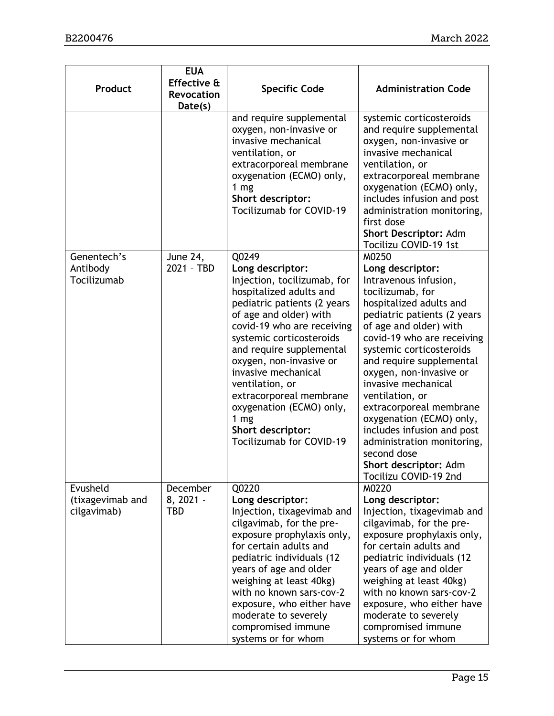| Product                                     | <b>EUA</b><br><b>Effective &amp;</b><br>Revocation<br>Date(s) | <b>Specific Code</b>                                                                                                                                                                                                                                                                                                                                                                                                               | <b>Administration Code</b>                                                                                                                                                                                                                                                                                                                                                                                                                                                                                |
|---------------------------------------------|---------------------------------------------------------------|------------------------------------------------------------------------------------------------------------------------------------------------------------------------------------------------------------------------------------------------------------------------------------------------------------------------------------------------------------------------------------------------------------------------------------|-----------------------------------------------------------------------------------------------------------------------------------------------------------------------------------------------------------------------------------------------------------------------------------------------------------------------------------------------------------------------------------------------------------------------------------------------------------------------------------------------------------|
|                                             |                                                               | and require supplemental<br>oxygen, non-invasive or<br>invasive mechanical<br>ventilation, or<br>extracorporeal membrane<br>oxygenation (ECMO) only,<br>1 <sub>mg</sub><br>Short descriptor:<br>Tocilizumab for COVID-19                                                                                                                                                                                                           | systemic corticosteroids<br>and require supplemental<br>oxygen, non-invasive or<br>invasive mechanical<br>ventilation, or<br>extracorporeal membrane<br>oxygenation (ECMO) only,<br>includes infusion and post<br>administration monitoring,<br>first dose<br>Short Descriptor: Adm<br>Tocilizu COVID-19 1st                                                                                                                                                                                              |
| Genentech's<br>Antibody<br>Tocilizumab      | <b>June 24,</b><br>2021 - TBD                                 | Q0249<br>Long descriptor:<br>Injection, tocilizumab, for<br>hospitalized adults and<br>pediatric patients (2 years<br>of age and older) with<br>covid-19 who are receiving<br>systemic corticosteroids<br>and require supplemental<br>oxygen, non-invasive or<br>invasive mechanical<br>ventilation, or<br>extracorporeal membrane<br>oxygenation (ECMO) only,<br>1 <sub>mg</sub><br>Short descriptor:<br>Tocilizumab for COVID-19 | M0250<br>Long descriptor:<br>Intravenous infusion,<br>tocilizumab, for<br>hospitalized adults and<br>pediatric patients (2 years<br>of age and older) with<br>covid-19 who are receiving<br>systemic corticosteroids<br>and require supplemental<br>oxygen, non-invasive or<br>invasive mechanical<br>ventilation, or<br>extracorporeal membrane<br>oxygenation (ECMO) only,<br>includes infusion and post<br>administration monitoring,<br>second dose<br>Short descriptor: Adm<br>Tocilizu COVID-19 2nd |
| Evusheld<br>(tixagevimab and<br>cilgavimab) | December<br>8, 2021 -<br>TBD                                  | Q0220<br>Long descriptor:<br>Injection, tixagevimab and<br>cilgavimab, for the pre-<br>exposure prophylaxis only,<br>for certain adults and<br>pediatric individuals (12<br>years of age and older<br>weighing at least 40kg)<br>with no known sars-cov-2<br>exposure, who either have<br>moderate to severely<br>compromised immune<br>systems or for whom                                                                        | M0220<br>Long descriptor:<br>Injection, tixagevimab and<br>cilgavimab, for the pre-<br>exposure prophylaxis only,<br>for certain adults and<br>pediatric individuals (12<br>years of age and older<br>weighing at least 40kg)<br>with no known sars-cov-2<br>exposure, who either have<br>moderate to severely<br>compromised immune<br>systems or for whom                                                                                                                                               |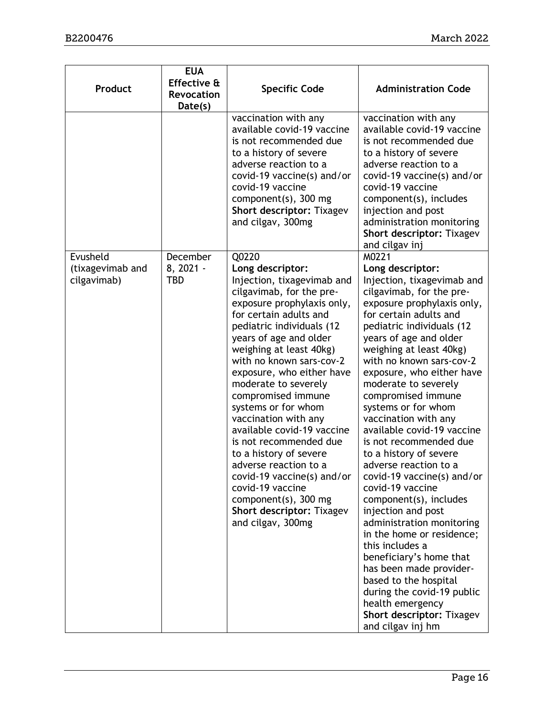| Product                                     | <b>EUA</b><br>Effective &<br><b>Revocation</b><br>Date(s) | <b>Specific Code</b>                                                                                                                                                                                                                                                                                                                                                                                                                                                                                                                                                                                                       | <b>Administration Code</b>                                                                                                                                                                                                                                                                                                                                                                                                                                                                                                                                                                                                                                                                                                                                                                                                                                              |
|---------------------------------------------|-----------------------------------------------------------|----------------------------------------------------------------------------------------------------------------------------------------------------------------------------------------------------------------------------------------------------------------------------------------------------------------------------------------------------------------------------------------------------------------------------------------------------------------------------------------------------------------------------------------------------------------------------------------------------------------------------|-------------------------------------------------------------------------------------------------------------------------------------------------------------------------------------------------------------------------------------------------------------------------------------------------------------------------------------------------------------------------------------------------------------------------------------------------------------------------------------------------------------------------------------------------------------------------------------------------------------------------------------------------------------------------------------------------------------------------------------------------------------------------------------------------------------------------------------------------------------------------|
|                                             |                                                           | vaccination with any<br>available covid-19 vaccine<br>is not recommended due<br>to a history of severe<br>adverse reaction to a<br>covid-19 vaccine(s) and/or<br>covid-19 vaccine<br>component(s), 300 mg<br><b>Short descriptor: Tixagev</b><br>and cilgav, 300mg                                                                                                                                                                                                                                                                                                                                                         | vaccination with any<br>available covid-19 vaccine<br>is not recommended due<br>to a history of severe<br>adverse reaction to a<br>covid-19 vaccine(s) and/or<br>covid-19 vaccine<br>component(s), includes<br>injection and post<br>administration monitoring<br><b>Short descriptor: Tixagev</b><br>and cilgav inj                                                                                                                                                                                                                                                                                                                                                                                                                                                                                                                                                    |
| Evusheld<br>(tixagevimab and<br>cilgavimab) | December<br>8, 2021 -<br><b>TBD</b>                       | Q0220<br>Long descriptor:<br>Injection, tixagevimab and<br>cilgavimab, for the pre-<br>exposure prophylaxis only,<br>for certain adults and<br>pediatric individuals (12<br>years of age and older<br>weighing at least 40kg)<br>with no known sars-cov-2<br>exposure, who either have<br>moderate to severely<br>compromised immune<br>systems or for whom<br>vaccination with any<br>available covid-19 vaccine<br>is not recommended due<br>to a history of severe<br>adverse reaction to a<br>covid-19 vaccine(s) and/or<br>covid-19 vaccine<br>component(s), 300 mg<br>Short descriptor: Tixagev<br>and cilgav, 300mg | M0221<br>Long descriptor:<br>Injection, tixagevimab and<br>cilgavimab, for the pre-<br>exposure prophylaxis only,<br>for certain adults and<br>pediatric individuals (12<br>years of age and older<br>weighing at least 40kg)<br>with no known sars-cov-2<br>exposure, who either have<br>moderate to severely<br>compromised immune<br>systems or for whom<br>vaccination with any<br>available covid-19 vaccine<br>is not recommended due<br>to a history of severe<br>adverse reaction to a<br>covid-19 vaccine(s) and/or<br>covid-19 vaccine<br>component(s), includes<br>injection and post<br>administration monitoring<br>in the home or residence;<br>this includes a<br>beneficiary's home that<br>has been made provider-<br>based to the hospital<br>during the covid-19 public<br>health emergency<br><b>Short descriptor: Tixagev</b><br>and cilgav inj hm |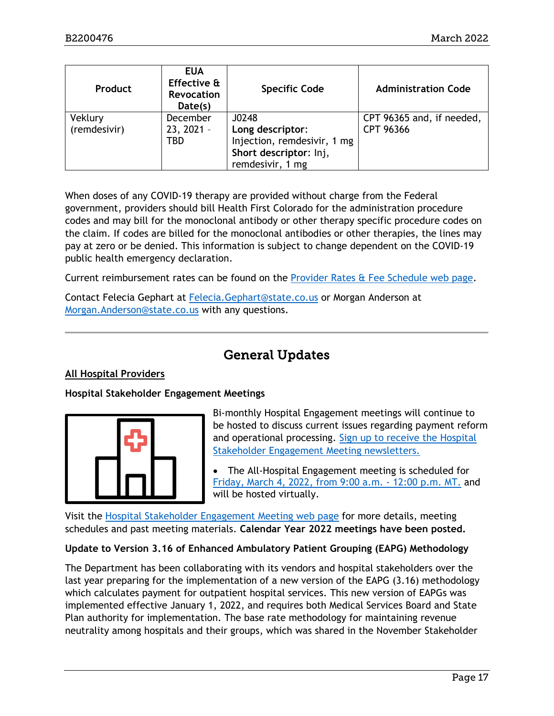| Product                 | <b>EUA</b><br>Effective &<br><b>Revocation</b><br>Date(s) | <b>Specific Code</b>                                                      | <b>Administration Code</b>             |
|-------------------------|-----------------------------------------------------------|---------------------------------------------------------------------------|----------------------------------------|
| Veklury<br>(remdesivir) | December<br>$23, 2021 -$                                  | J0248<br>Long descriptor:                                                 | CPT 96365 and, if needed,<br>CPT 96366 |
|                         | TBD                                                       | Injection, remdesivir, 1 mg<br>Short descriptor: Inj,<br>remdesivir, 1 mg |                                        |

When doses of any COVID-19 therapy are provided without charge from the Federal government, providers should bill Health First Colorado for the administration procedure codes and may bill for the monoclonal antibody or other therapy specific procedure codes on the claim. If codes are billed for the monoclonal antibodies or other therapies, the lines may pay at zero or be denied. This information is subject to change dependent on the COVID-19 public health emergency declaration.

Current reimbursement rates can be found on the [Provider Rates & Fee Schedule web page.](https://hcpf.colorado.gov/provider-rates-fee-schedule)

Contact Felecia Gephart at [Felecia.Gephart@state.co.us](mailto:Felecia.Gephart@state.co.us) or Morgan Anderson at [Morgan.Anderson@state.co.us](mailto:Morgan.Anderson@state.co.us) with any questions.

# General Updates

#### <span id="page-16-0"></span>**All Hospital Providers**

#### **Hospital Stakeholder Engagement Meetings**



Bi-monthly Hospital Engagement meetings will continue to be hosted to discuss current issues regarding payment reform and operational processing. [Sign up to receive the Hospital](https://visitor.r20.constantcontact.com/manage/optin?v=001HfxrbpGNWZ0lZnPp6t3PG2s9XPNl8ZvgFdjsKvSnhIy8z9JmHyp6DeoLJ3saT6x0SeqRR1ub149uoXxe1ok4jTzfMSQ0BN7S5vcLiRO7gdY%3D)  [Stakeholder Engagement Meeting newsletters.](https://visitor.r20.constantcontact.com/manage/optin?v=001HfxrbpGNWZ0lZnPp6t3PG2s9XPNl8ZvgFdjsKvSnhIy8z9JmHyp6DeoLJ3saT6x0SeqRR1ub149uoXxe1ok4jTzfMSQ0BN7S5vcLiRO7gdY%3D)

• The All-Hospital Engagement meeting is scheduled for Friday, [March 4, 2022, from 9:00 a.m. -](https://hcpf.colorado.gov/hospital-stakeholder-engagement-meetings) 12:00 p.m. MT. and will be hosted virtually.

Visit the [Hospital Stakeholder Engagement Meeting](https://hcpf.colorado.gov/hospital-stakeholder-engagement-meetings) web page for more details, meeting schedules and past meeting materials. **Calendar Year 2022 meetings have been posted.**

#### **Update to Version 3.16 of Enhanced Ambulatory Patient Grouping (EAPG) Methodology**

The Department has been collaborating with its vendors and hospital stakeholders over the last year preparing for the implementation of a new version of the EAPG (3.16) methodology which calculates payment for outpatient hospital services. This new version of EAPGs was implemented effective January 1, 2022, and requires both Medical Services Board and State Plan authority for implementation. The base rate methodology for maintaining revenue neutrality among hospitals and their groups, which was shared in the November Stakeholder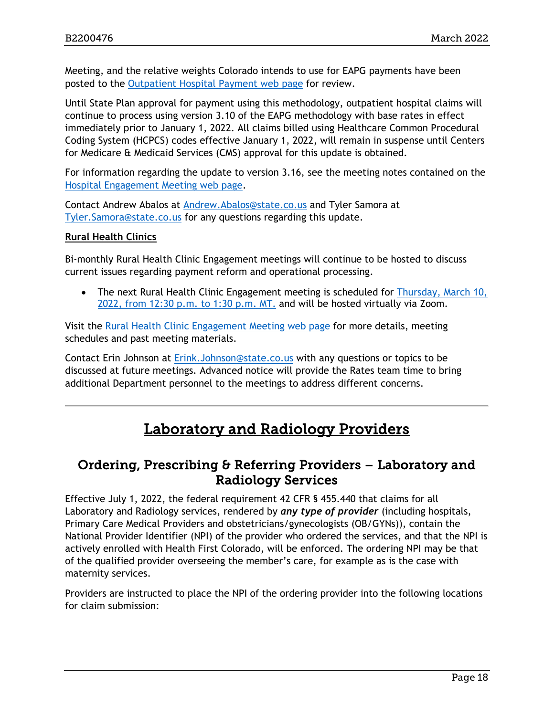Meeting, and the relative weights Colorado intends to use for EAPG payments have been posted to the [Outpatient Hospital Payment web page](https://hcpf.colorado.gov/outpatient-hospital-payment) for review.

Until State Plan approval for payment using this methodology, outpatient hospital claims will continue to process using version 3.10 of the EAPG methodology with base rates in effect immediately prior to January 1, 2022. All claims billed using Healthcare Common Procedural Coding System (HCPCS) codes effective January 1, 2022, will remain in suspense until Centers for Medicare & Medicaid Services (CMS) approval for this update is obtained.

For information regarding the update to version 3.16, see the meeting notes contained on the [Hospital Engagement Meeting](https://hcpf.colorado.gov/hospital-stakeholder-engagement-meetings) web page.

Contact Andrew Abalos at [Andrew.Abalos@state.co.us](mailto:Andrew.Abalos@state.co.us) and Tyler Samora at [Tyler.Samora@state.co.us](mailto:Tyler.Samora@state.co.us) for any questions regarding this update.

#### **Rural Health Clinics**

Bi-monthly Rural Health Clinic Engagement meetings will continue to be hosted to discuss current issues regarding payment reform and operational processing.

• The next Rural Health Clinic Engagement meeting is scheduled for Thursday, March 10, [2022, from 12:30 p.m. to 1:30 p.m. MT.](https://hcpf.colorado.gov/rural-hospital-and-rural-health-clinics) and will be hosted virtually via Zoom.

Visit the [Rural Health Clinic Engagement Meeting](https://hcpf.colorado.gov/rural-hospital-and-rural-health-clinics) web page for more details, meeting schedules and past meeting materials.

Contact Erin Johnson at [Erink.Johnson@state.co.us](mailto:Erink.Johnson@state.co.us) with any questions or topics to be discussed at future meetings. Advanced notice will provide the Rates team time to bring additional Department personnel to the meetings to address different concerns.

# Laboratory and Radiology Providers

### <span id="page-17-1"></span><span id="page-17-0"></span>Ordering, Prescribing & Referring Providers – Laboratory and Radiology Services

Effective July 1, 2022, the federal requirement 42 CFR § 455.440 that claims for all Laboratory and Radiology services, rendered by *any type of provider* (including hospitals, Primary Care Medical Providers and obstetricians/gynecologists (OB/GYNs)), contain the National Provider Identifier (NPI) of the provider who ordered the services, and that the NPI is actively enrolled with Health First Colorado, will be enforced. The ordering NPI may be that of the qualified provider overseeing the member's care, for example as is the case with maternity services.

Providers are instructed to place the NPI of the ordering provider into the following locations for claim submission: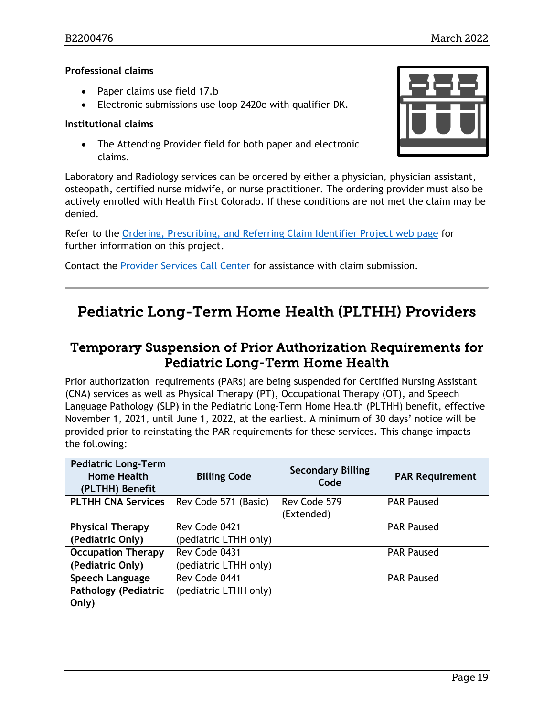#### **Professional claims**

- Paper claims use field 17.b
- Electronic submissions use loop 2420e with qualifier DK.

#### **Institutional claims**

• The Attending Provider field for both paper and electronic claims.

Laboratory and Radiology services can be ordered by either a physician, physician assistant, osteopath, certified nurse midwife, or nurse practitioner. The ordering provider must also be actively enrolled with Health First Colorado. If these conditions are not met the claim may be denied.

Refer to the [Ordering, Prescribing, and Referring Claim Identifier Project web page](https://hcpf.colorado.gov/opr-claims) for further information on this project.

Contact the [Provider Services Call Center](https://hcpf.colorado.gov/provider-help) for assistance with claim submission.

# <span id="page-18-1"></span>Pediatric Long-Term Home Health (PLTHH) Providers

### <span id="page-18-0"></span>Temporary Suspension of Prior Authorization Requirements for Pediatric Long-Term Home Health

Prior authorization requirements (PARs) are being suspended for Certified Nursing Assistant (CNA) services as well as Physical Therapy (PT), Occupational Therapy (OT), and Speech Language Pathology (SLP) in the Pediatric Long-Term Home Health (PLTHH) benefit, effective November 1, 2021, until June 1, 2022, at the earliest. A minimum of 30 days' notice will be provided prior to reinstating the PAR requirements for these services. This change impacts the following:

| <b>Pediatric Long-Term</b><br><b>Home Health</b><br>(PLTHH) Benefit | <b>Billing Code</b>   | <b>Secondary Billing</b><br>Code | <b>PAR Requirement</b> |
|---------------------------------------------------------------------|-----------------------|----------------------------------|------------------------|
| <b>PLTHH CNA Services</b>                                           | Rev Code 571 (Basic)  | Rev Code 579<br>(Extended)       | <b>PAR Paused</b>      |
| <b>Physical Therapy</b>                                             | Rev Code 0421         |                                  | <b>PAR Paused</b>      |
| (Pediatric Only)                                                    | (pediatric LTHH only) |                                  |                        |
| <b>Occupation Therapy</b>                                           | Rev Code 0431         |                                  | <b>PAR Paused</b>      |
| (Pediatric Only)                                                    | (pediatric LTHH only) |                                  |                        |
| Speech Language                                                     | Rev Code 0441         |                                  | <b>PAR Paused</b>      |
| <b>Pathology (Pediatric</b>                                         | (pediatric LTHH only) |                                  |                        |
| Only)                                                               |                       |                                  |                        |

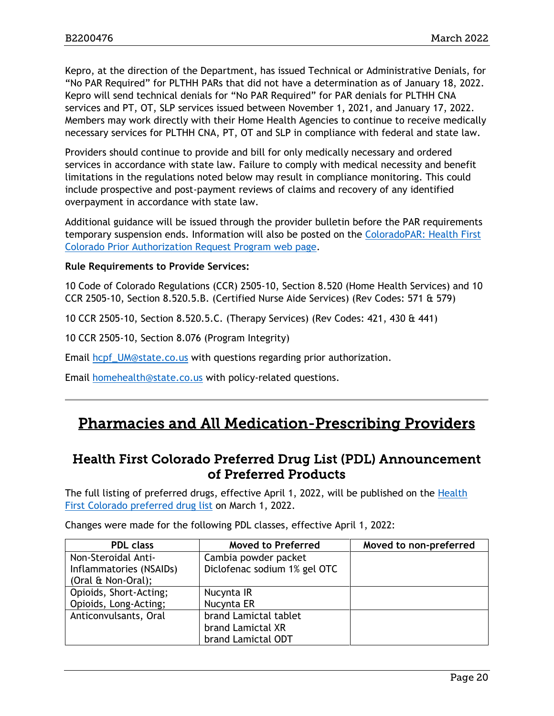Kepro, at the direction of the Department, has issued Technical or Administrative Denials, for "No PAR Required" for PLTHH PARs that did not have a determination as of January 18, 2022. Kepro will send technical denials for "No PAR Required" for PAR denials for PLTHH CNA services and PT, OT, SLP services issued between November 1, 2021, and January 17, 2022. Members may work directly with their Home Health Agencies to continue to receive medically necessary services for PLTHH CNA, PT, OT and SLP in compliance with federal and state law.

Providers should continue to provide and bill for only medically necessary and ordered services in accordance with state law. Failure to comply with medical necessity and benefit limitations in the regulations noted below may result in compliance monitoring. This could include prospective and post-payment reviews of claims and recovery of any identified overpayment in accordance with state law.

Additional guidance will be issued through the provider bulletin before the PAR requirements temporary suspension ends. Information will also be posted on the [ColoradoPAR: Health First](https://hcpf.colorado.gov/par)  [Colorado Prior Authorization Request Program web page.](https://hcpf.colorado.gov/par)

#### **Rule Requirements to Provide Services:**

10 Code of Colorado Regulations (CCR) 2505-10, Section 8.520 (Home Health Services) and 10 CCR 2505-10, Section 8.520.5.B. (Certified Nurse Aide Services) (Rev Codes: 571 & 579)

10 CCR 2505-10, Section 8.520.5.C. (Therapy Services) (Rev Codes: 421, 430 & 441)

10 CCR 2505-10, Section 8.076 (Program Integrity)

Email [hcpf\\_UM@state.co.us](mailto:hcpf_UM@state.co.us) with questions regarding prior authorization.

Email [homehealth@state.co.us](mailto:homehealth@state.co.us) with policy-related questions.

# <span id="page-19-1"></span>Pharmacies and All Medication-Prescribing Providers

### <span id="page-19-0"></span>Health First Colorado Preferred Drug List (PDL) Announcement of Preferred Products

The full listing of preferred drugs, effective April 1, 2022, will be published on the [Health](https://hcpf.colorado.gov/pharmacy-resources#PDL)  [First Colorado preferred drug list](https://hcpf.colorado.gov/pharmacy-resources#PDL) on March 1, 2022.

| <b>PDL</b> class        | <b>Moved to Preferred</b>    | Moved to non-preferred |
|-------------------------|------------------------------|------------------------|
| Non-Steroidal Anti-     | Cambia powder packet         |                        |
| Inflammatories (NSAIDs) | Diclofenac sodium 1% gel OTC |                        |
| (Oral & Non-Oral);      |                              |                        |
| Opioids, Short-Acting;  | Nucynta IR                   |                        |
| Opioids, Long-Acting;   | Nucynta ER                   |                        |
| Anticonvulsants, Oral   | brand Lamictal tablet        |                        |
|                         | brand Lamictal XR            |                        |
|                         | brand Lamictal ODT           |                        |

Changes were made for the following PDL classes, effective April 1, 2022: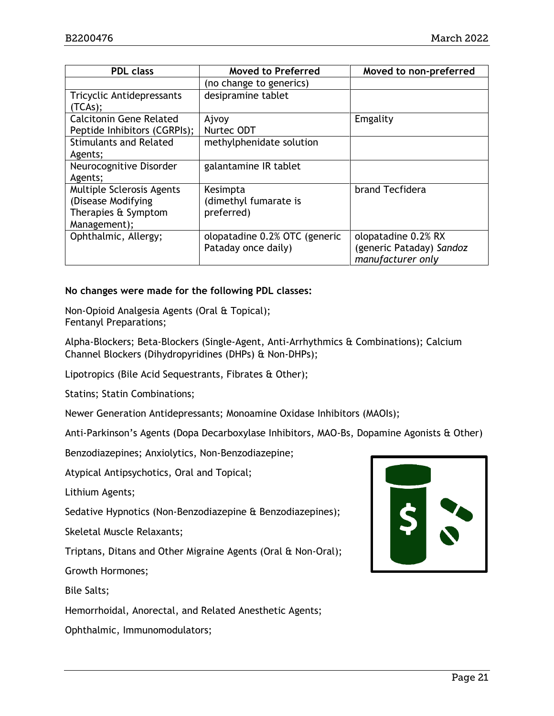| <b>PDL class</b>               | <b>Moved to Preferred</b>     | Moved to non-preferred   |  |
|--------------------------------|-------------------------------|--------------------------|--|
|                                | (no change to generics)       |                          |  |
| Tricyclic Antidepressants      | desipramine tablet            |                          |  |
| (TCAS);                        |                               |                          |  |
| <b>Calcitonin Gene Related</b> | Ajvoy                         | Emgality                 |  |
| Peptide Inhibitors (CGRPIs);   | Nurtec ODT                    |                          |  |
| <b>Stimulants and Related</b>  | methylphenidate solution      |                          |  |
| Agents;                        |                               |                          |  |
| Neurocognitive Disorder        | galantamine IR tablet         |                          |  |
| Agents;                        |                               |                          |  |
| Multiple Sclerosis Agents      | Kesimpta                      | brand Tecfidera          |  |
| (Disease Modifying             | (dimethyl fumarate is         |                          |  |
| Therapies & Symptom            | preferred)                    |                          |  |
| Management);                   |                               |                          |  |
| Ophthalmic, Allergy;           | olopatadine 0.2% OTC (generic | olopatadine 0.2% RX      |  |
|                                | Pataday once daily)           | (generic Pataday) Sandoz |  |
|                                |                               | manufacturer only        |  |

#### **No changes were made for the following PDL classes:**

Non-Opioid Analgesia Agents (Oral & Topical); Fentanyl Preparations;

Alpha-Blockers; Beta-Blockers (Single-Agent, Anti-Arrhythmics & Combinations); Calcium Channel Blockers (Dihydropyridines (DHPs) & Non-DHPs);

Lipotropics (Bile Acid Sequestrants, Fibrates & Other);

Statins; Statin Combinations;

Newer Generation Antidepressants; Monoamine Oxidase Inhibitors (MAOIs);

Anti-Parkinson's Agents (Dopa Decarboxylase Inhibitors, MAO-Bs, Dopamine Agonists & Other)

Benzodiazepines; Anxiolytics, Non-Benzodiazepine;

Atypical Antipsychotics, Oral and Topical;

Lithium Agents;

Sedative Hypnotics (Non-Benzodiazepine & Benzodiazepines);

Skeletal Muscle Relaxants;

Triptans, Ditans and Other Migraine Agents (Oral & Non-Oral);

Growth Hormones;

Bile Salts;

Hemorrhoidal, Anorectal, and Related Anesthetic Agents;

Ophthalmic, Immunomodulators;

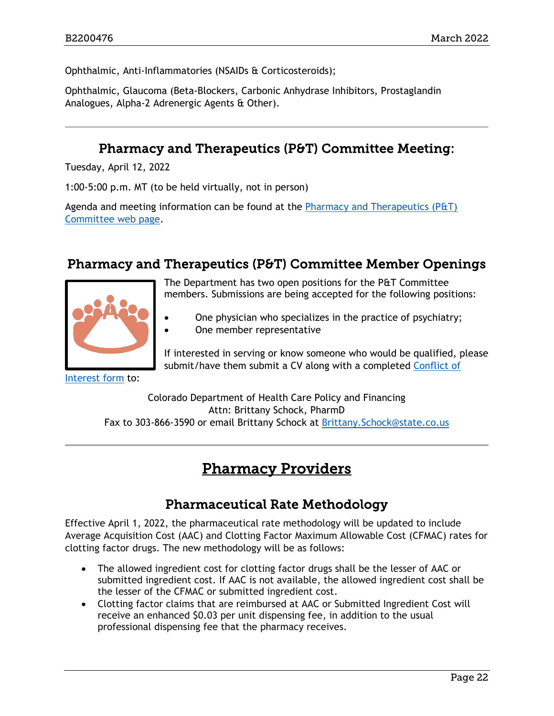Ophthalmic, Anti-Inflammatories (NSAIDs & Corticosteroids);

Ophthalmic, Glaucoma (Beta-Blockers, Carbonic Anhydrase Inhibitors, Prostaglandin Analogues, Alpha-2 Adrenergic Agents & Other).

### Pharmacy and Therapeutics (P&T) Committee Meeting:

<span id="page-21-1"></span>Tuesday, April 12, 2022

1:00-5:00 p.m. MT (to be held virtually, not in person)

Agenda and meeting information can be found at the Pharmacy and [Therapeutics \(P&T\)](https://hcpf.colorado.gov/pharmacy-and-therapeutics-committee)  [Committee web page.](https://hcpf.colorado.gov/pharmacy-and-therapeutics-committee)

### <span id="page-21-2"></span>Pharmacy and Therapeutics (P&T) Committee Member Openings



The Department has two open positions for the P&T Committee members. Submissions are being accepted for the following positions:

- One physician who specializes in the practice of psychiatry;
- One member representative

If interested in serving or know someone who would be qualified, please submit/have them submit a CV along with a completed [Conflict of](https://hcpf.colorado.gov/sites/hcpf/files/PT%20Conflict%20of%20Interest%20Disclosure%20-%20Rev%20Aug%202021.pdf) 

[Interest form](https://hcpf.colorado.gov/sites/hcpf/files/PT%20Conflict%20of%20Interest%20Disclosure%20-%20Rev%20Aug%202021.pdf) to:

<span id="page-21-3"></span>Colorado Department of Health Care Policy and Financing Attn: Brittany Schock, PharmD Fax to 303-866-3590 or email Brittany Schock at [Brittany.Schock@state.co.us](mailto:Brittany.Schock@state.co.us)

# Pharmacy Providers

# Pharmaceutical Rate Methodology

<span id="page-21-0"></span>Effective April 1, 2022, the pharmaceutical rate methodology will be updated to include Average Acquisition Cost (AAC) and Clotting Factor Maximum Allowable Cost (CFMAC) rates for clotting factor drugs. The new methodology will be as follows:

- The allowed ingredient cost for clotting factor drugs shall be the lesser of AAC or submitted ingredient cost. If AAC is not available, the allowed ingredient cost shall be the lesser of the CFMAC or submitted ingredient cost.
- Clotting factor claims that are reimbursed at AAC or Submitted Ingredient Cost will receive an enhanced \$0.03 per unit dispensing fee, in addition to the usual professional dispensing fee that the pharmacy receives.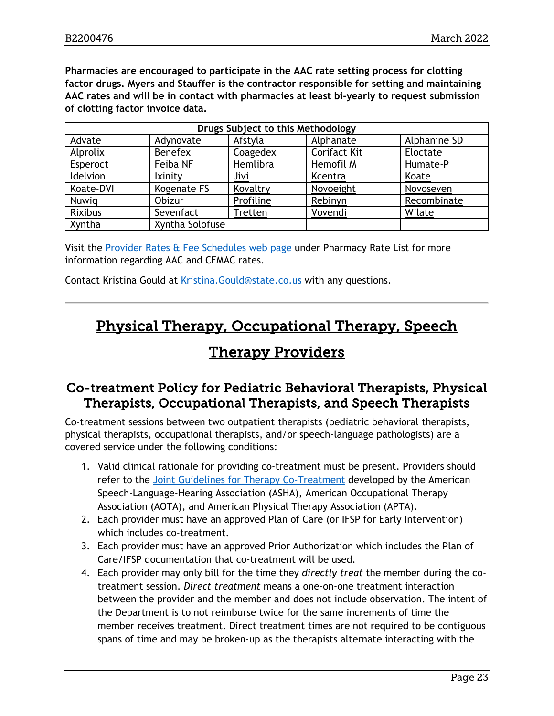**Pharmacies are encouraged to participate in the AAC rate setting process for clotting factor drugs. Myers and Stauffer is the contractor responsible for setting and maintaining AAC rates and will be in contact with pharmacies at least bi-yearly to request submission of clotting factor invoice data.**

| Drugs Subject to this Methodology |                 |           |                     |              |  |
|-----------------------------------|-----------------|-----------|---------------------|--------------|--|
| Advate                            | Adynovate       | Afstyla   | Alphanate           | Alphanine SD |  |
| Alprolix                          | <b>Benefex</b>  | Coagedex  | <b>Corifact Kit</b> | Eloctate     |  |
| Esperoct                          | Feiba NF        | Hemlibra  | Hemofil M           | Humate-P     |  |
| Idelvion                          | Ixinity         | Jivi      | Kcentra             | Koate        |  |
| Koate-DVI                         | Kogenate FS     | Kovaltry  | Novoeight           | Novoseven    |  |
| Nuwig                             | Obizur          | Profiline | Rebinyn             | Recombinate  |  |
| <b>Rixibus</b>                    | Sevenfact       | Tretten   | Vovendi             | Wilate       |  |
| Xyntha                            | Xyntha Solofuse |           |                     |              |  |

Visit the [Provider Rates & Fee Schedules web page](https://hcpf.colorado.gov/provider-rates-fee-schedule#pharmRateList) under Pharmacy Rate List for more information regarding AAC and CFMAC rates.

Contact Kristina Gould at [Kristina.Gould@state.co.us](mailto:Kristina.Gould@state.co.us) with any questions.

# <span id="page-22-1"></span>Physical Therapy, Occupational Therapy, Speech

# Therapy Providers

### <span id="page-22-0"></span>Co-treatment Policy for Pediatric Behavioral Therapists, Physical Therapists, Occupational Therapists, and Speech Therapists

Co-treatment sessions between two outpatient therapists (pediatric behavioral therapists, physical therapists, occupational therapists, and/or speech-language pathologists) are a covered service under the following conditions:

- 1. Valid clinical rationale for providing co-treatment must be present. Providers should refer to the [Joint Guidelines for Therapy Co-Treatment](https://www.asha.org/practice/reimbursement/medicare/joint-guidelines-for-therapy-co-treatment-under-medicare/) developed by the American Speech-Language-Hearing Association (ASHA), American Occupational Therapy Association (AOTA), and American Physical Therapy Association (APTA).
- 2. Each provider must have an approved Plan of Care (or IFSP for Early Intervention) which includes co-treatment.
- 3. Each provider must have an approved Prior Authorization which includes the Plan of Care/IFSP documentation that co-treatment will be used.
- 4. Each provider may only bill for the time they *directly treat* the member during the cotreatment session. *Direct treatment* means a one-on-one treatment interaction between the provider and the member and does not include observation. The intent of the Department is to not reimburse twice for the same increments of time the member receives treatment. Direct treatment times are not required to be contiguous spans of time and may be broken-up as the therapists alternate interacting with the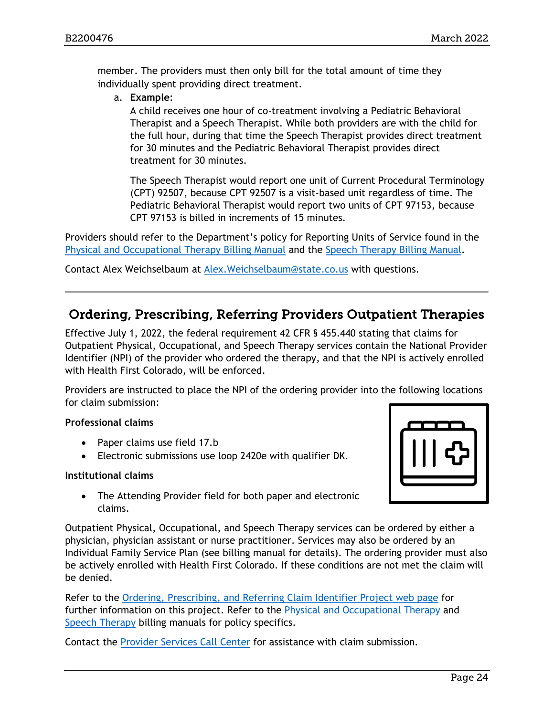member. The providers must then only bill for the total amount of time they individually spent providing direct treatment.

a. **Example**:

A child receives one hour of co-treatment involving a Pediatric Behavioral Therapist and a Speech Therapist. While both providers are with the child for the full hour, during that time the Speech Therapist provides direct treatment for 30 minutes and the Pediatric Behavioral Therapist provides direct treatment for 30 minutes.

The Speech Therapist would report one unit of Current Procedural Terminology (CPT) 92507, because CPT 92507 is a visit-based unit regardless of time. The Pediatric Behavioral Therapist would report two units of CPT 97153, because CPT 97153 is billed in increments of 15 minutes.

Providers should refer to the Department's policy for Reporting Units of Service found in the [Physical and Occupational Therapy](https://hcpf.colorado.gov/ptot-manual#repServ) Billing Manual and the [Speech Therapy Billing Manual.](https://hcpf.colorado.gov/speech-therapy-manual#report)

Contact Alex Weichselbaum at [Alex.Weichselbaum@state.co.us](mailto:Alex.Weichselbaum@state.co.us) with questions.

### <span id="page-23-0"></span>Ordering, Prescribing, Referring Providers Outpatient Therapies

Effective July 1, 2022, the federal requirement 42 CFR § 455.440 stating that claims for Outpatient Physical, Occupational, and Speech Therapy services contain the National Provider Identifier (NPI) of the provider who ordered the therapy, and that the NPI is actively enrolled with Health First Colorado, will be enforced.

Providers are instructed to place the NPI of the ordering provider into the following locations for claim submission:

#### **Professional claims**

- Paper claims use field 17.b
- Electronic submissions use loop 2420e with qualifier DK.

#### **Institutional claims**

• The Attending Provider field for both paper and electronic claims.

Outpatient Physical, Occupational, and Speech Therapy services can be ordered by either a physician, physician assistant or nurse practitioner. Services may also be ordered by an Individual Family Service Plan (see billing manual for details). The ordering provider must also be actively enrolled with Health First Colorado. If these conditions are not met the claim will be denied.

Refer to the [Ordering, Prescribing, and Referring Claim Identifier Project web page](https://hcpf.colorado.gov/opr-claims) for further information on this project. Refer to the [Physical and Occupational Therapy](https://hcpf.colorado.gov/ptot-manual) and [Speech Therapy](https://hcpf.colorado.gov/speech-therapy-manual) billing manuals for policy specifics.

Contact the [Provider Services Call Center](https://hcpf.colorado.gov/provider-help) for assistance with claim submission.

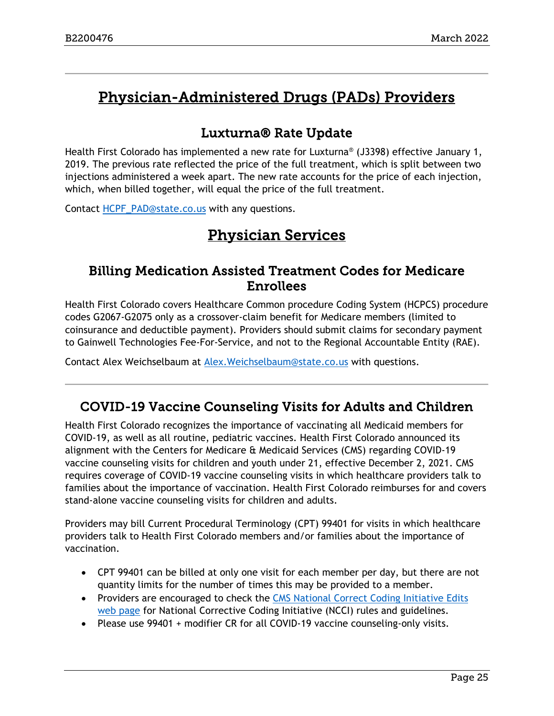# <span id="page-24-3"></span>Physician-Administered Drugs (PADs) Providers

# Luxturna® Rate Update

<span id="page-24-0"></span>Health First Colorado has implemented a new rate for Luxturna® (J3398) effective January 1, 2019. The previous rate reflected the price of the full treatment, which is split between two injections administered a week apart. The new rate accounts for the price of each injection, which, when billed together, will equal the price of the full treatment.

<span id="page-24-4"></span>Contact [HCPF\\_PAD@state.co.us](mailto:HCPF_PAD@state.co.us) with any questions.

# Physician Services

### <span id="page-24-1"></span>Billing Medication Assisted Treatment Codes for Medicare Enrollees

Health First Colorado covers Healthcare Common procedure Coding System (HCPCS) procedure codes G2067-G2075 only as a crossover-claim benefit for Medicare members (limited to coinsurance and deductible payment). Providers should submit claims for secondary payment to Gainwell Technologies Fee-For-Service, and not to the Regional Accountable Entity (RAE).

Contact Alex Weichselbaum at [Alex.Weichselbaum@state.co.us](mailto:Alex.Weichselbaum@state.co.us) with questions.

# <span id="page-24-2"></span>COVID-19 Vaccine Counseling Visits for Adults and Children

Health First Colorado recognizes the importance of vaccinating all Medicaid members for COVID-19, as well as all routine, pediatric vaccines. Health First Colorado announced its alignment with the Centers for Medicare & Medicaid Services (CMS) regarding COVID-19 vaccine counseling visits for children and youth under 21, effective December 2, 2021. CMS requires coverage of COVID-19 vaccine counseling visits in which healthcare providers talk to families about the importance of vaccination. Health First Colorado reimburses for and covers stand-alone vaccine counseling visits for children and adults.

Providers may bill Current Procedural Terminology (CPT) 99401 for visits in which healthcare providers talk to Health First Colorado members and/or families about the importance of vaccination.

- CPT 99401 can be billed at only one visit for each member per day, but there are not quantity limits for the number of times this may be provided to a member.
- Providers are encouraged to check the [CMS National Correct Coding Initiative Edits](https://www.cms.gov/Medicare/Coding/NCCI-Coding-Edits)  [web page](https://www.cms.gov/Medicare/Coding/NCCI-Coding-Edits) for National Corrective Coding Initiative (NCCI) rules and guidelines.
- Please use 99401 + modifier CR for all COVID-19 vaccine counseling-only visits.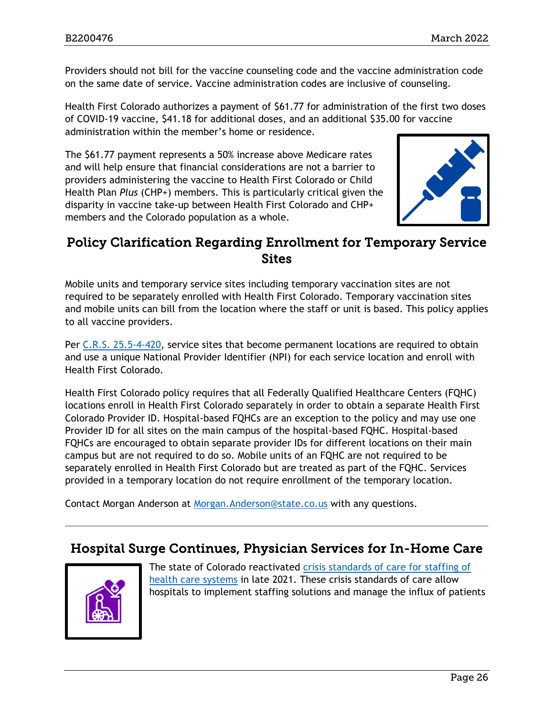Providers should not bill for the vaccine counseling code and the vaccine administration code on the same date of service. Vaccine administration codes are inclusive of counseling.

Health First Colorado authorizes a payment of \$61.77 for administration of the first two doses of COVID-19 vaccine, \$41.18 for additional doses, and an additional \$35.00 for vaccine administration within the member's home or residence.

The \$61.77 payment represents a 50% increase above Medicare rates and will help ensure that financial considerations are not a barrier to providers administering the vaccine to Health First Colorado or Child Health Plan *Plus* (CHP+) members. This is particularly critical given the disparity in vaccine take-up between Health First Colorado and CHP+ members and the Colorado population as a whole.



### Policy Clarification Regarding Enrollment for Temporary Service **Sites**

Mobile units and temporary service sites including temporary vaccination sites are not required to be separately enrolled with Health First Colorado. Temporary vaccination sites and mobile units can bill from the location where the staff or unit is based. This policy applies to all vaccine providers.

Per [C.R.S. 25.5-4-420,](https://leg.colorado.gov/sites/default/files/images/olls/crs2019-title-25.5.pdf) service sites that become permanent locations are required to obtain and use a unique National Provider Identifier (NPI) for each service location and enroll with Health First Colorado.

Health First Colorado policy requires that all Federally Qualified Healthcare Centers (FQHC) locations enroll in Health First Colorado separately in order to obtain a separate Health First Colorado Provider ID. Hospital-based FQHCs are an exception to the policy and may use one Provider ID for all sites on the main campus of the hospital-based FQHC. Hospital-based FQHCs are encouraged to obtain separate provider IDs for different locations on their main campus but are not required to do so. Mobile units of an FQHC are not required to be separately enrolled in Health First Colorado but are treated as part of the FQHC. Services provided in a temporary location do not require enrollment of the temporary location.

Contact Morgan Anderson at [Morgan.Anderson@state.co.us](mailto:Morgan.Anderson@state.co.us) with any questions.

### <span id="page-25-0"></span>Hospital Surge Continues, Physician Services for In-Home Care



The state of Colorado reactivated crisis standards of care for staffing of [health care systems](https://covid19.colorado.gov/press-release/state-activates-crisis-standards-of-care-for-staffing-of-health-care-systems) in late 2021. These crisis standards of care allow hospitals to implement staffing solutions and manage the influx of patients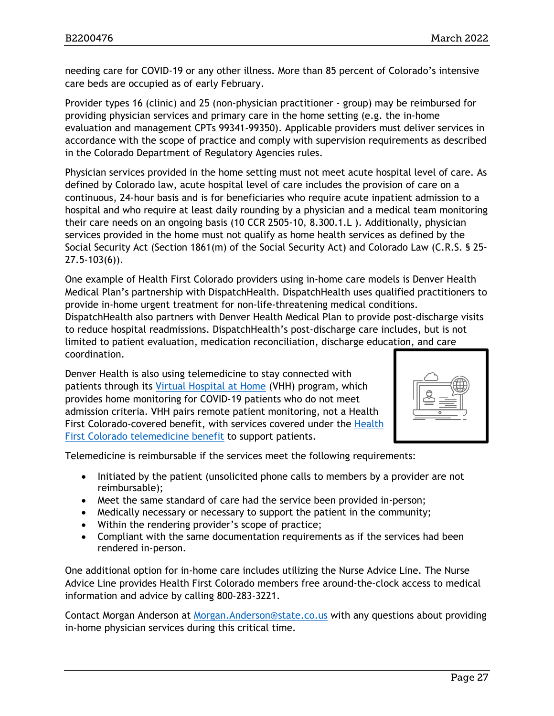needing care for COVID-19 or any other illness. More than 85 percent of Colorado's intensive care beds are occupied as of early February.

Provider types 16 (clinic) and 25 (non-physician practitioner - group) may be reimbursed for providing physician services and primary care in the home setting (e.g. the in-home evaluation and management CPTs 99341-99350). Applicable providers must deliver services in accordance with the scope of practice and comply with supervision requirements as described in the Colorado Department of Regulatory Agencies rules.

Physician services provided in the home setting must not meet acute hospital level of care. As defined by Colorado law, acute hospital level of care includes the provision of care on a continuous, 24-hour basis and is for beneficiaries who require acute inpatient admission to a hospital and who require at least daily rounding by a physician and a medical team monitoring their care needs on an ongoing basis (10 CCR 2505-10, 8.300.1.L ). Additionally, physician services provided in the home must not qualify as home health services as defined by the Social Security Act (Section 1861(m) of the Social Security Act) and Colorado Law (C.R.S. § 25- 27.5-103(6)).

One example of Health First Colorado providers using in-home care models is Denver Health Medical Plan's partnership with DispatchHealth. DispatchHealth uses qualified practitioners to provide in-home urgent treatment for non-life-threatening medical conditions.

DispatchHealth also partners with Denver Health Medical Plan to provide post-discharge visits to reduce hospital readmissions. DispatchHealth's post-discharge care includes, but is not limited to patient evaluation, medication reconciliation, discharge education, and care coordination.

Denver Health is also using telemedicine to stay connected with patients through its [Virtual Hospital at Home](https://www.ncbi.nlm.nih.gov/pmc/articles/PMC7503045/) (VHH) program, which provides home monitoring for COVID-19 patients who do not meet admission criteria. VHH pairs remote patient monitoring, not a Health First Colorado-covered benefit, with services covered under the [Health](https://hcpf.colorado.gov/telemedicine-manual)  First Colorado [telemedicine benefit](https://hcpf.colorado.gov/telemedicine-manual) to support patients.



Telemedicine is reimbursable if the services meet the following requirements:

- Initiated by the patient (unsolicited phone calls to members by a provider are not reimbursable);
- Meet the same standard of care had the service been provided in-person;
- Medically necessary or necessary to support the patient in the community;
- Within the rendering provider's scope of practice;
- Compliant with the same documentation requirements as if the services had been rendered in-person.

One additional option for in-home care includes utilizing the Nurse Advice Line. The Nurse Advice Line provides Health First Colorado members free around-the-clock access to medical information and advice by calling 800-283-3221.

Contact Morgan Anderson at [Morgan.Anderson@state.co.us](mailto:Morgan.Anderson@state.co.us) with any questions about providing in-home physician services during this critical time.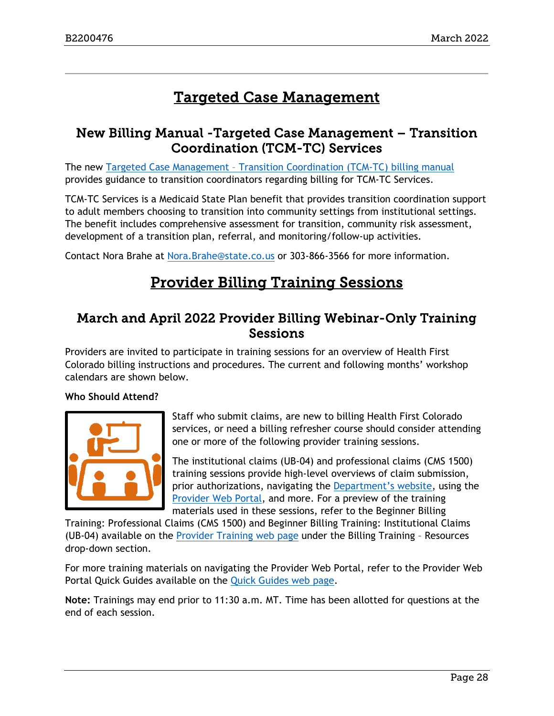# Targeted Case Management

### <span id="page-27-2"></span><span id="page-27-0"></span>New Billing Manual -Targeted Case Management – Transition Coordination (TCM-TC) Services

The new Targeted Case Management – [Transition Coordination \(TCM-TC\) billing manual](https://hcpf.colorado.gov/tcm-tc-manual) provides guidance to transition coordinators regarding billing for TCM-TC Services.

TCM-TC Services is a Medicaid State Plan benefit that provides transition coordination support to adult members choosing to transition into community settings from institutional settings. The benefit includes comprehensive assessment for transition, community risk assessment, development of a transition plan, referral, and monitoring/follow-up activities.

Contact Nora Brahe at [Nora.Brahe@state.co.us](mailto:Nora.Brahe@state.co.us) or 303-866-3566 for more information.

# Provider Billing Training Sessions

### <span id="page-27-1"></span>March and April 2022 Provider Billing Webinar-Only Training Sessions

Providers are invited to participate in training sessions for an overview of Health First Colorado billing instructions and procedures. The current and following months' workshop calendars are shown below.

#### **Who Should Attend?**



Staff who submit claims, are new to billing Health First Colorado services, or need a billing refresher course should consider attending one or more of the following provider training sessions.

The institutional claims (UB-04) and professional claims (CMS 1500) training sessions provide high-level overviews of claim submission, prior authorizations, navigating the [Department's website,](https://www.colorado.gov/hcpf/) using the [Provider Web Portal,](https://colorado-hcp-portal.xco.dcs-usps.com/hcp/provider/Home/tabid/135/Default.aspx) and more. For a preview of the training materials used in these sessions, refer to the Beginner Billing

Training: Professional Claims (CMS 1500) and Beginner Billing Training: Institutional Claims (UB-04) available on the [Provider Training web page](https://www.colorado.gov/pacific/hcpf/provider-training) under the Billing Training – Resources drop-down section.

For more training materials on navigating the Provider Web Portal, refer to the Provider Web Portal Quick Guides available on the [Quick Guides web page.](https://www.colorado.gov/hcpf/interchange-resources)

**Note:** Trainings may end prior to 11:30 a.m. MT. Time has been allotted for questions at the end of each session.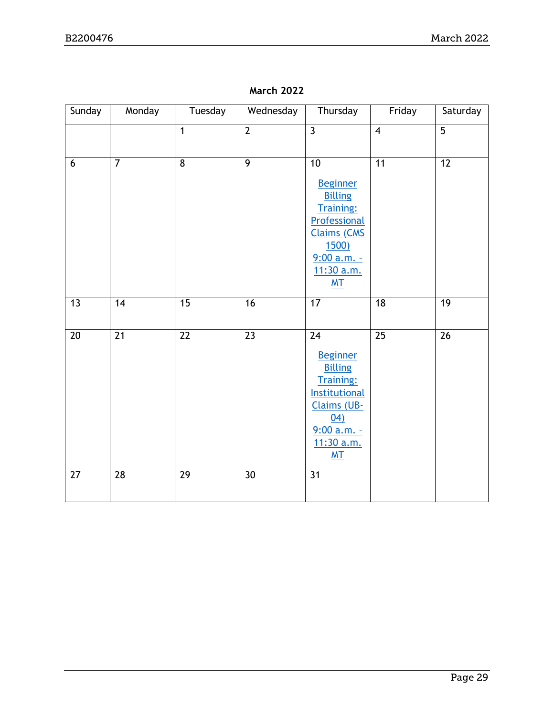| Sunday | Monday          | Tuesday         | Wednesday       | Thursday                                                                                                                                                                | Friday          | Saturday        |
|--------|-----------------|-----------------|-----------------|-------------------------------------------------------------------------------------------------------------------------------------------------------------------------|-----------------|-----------------|
|        |                 | $\mathbf{1}$    | $\overline{2}$  | $\overline{3}$                                                                                                                                                          | $\overline{4}$  | $\overline{5}$  |
| 6      | $\overline{7}$  | $\overline{8}$  | $\overline{9}$  | 10<br><b>Beginner</b><br><b>Billing</b><br><b>Training:</b><br>Professional<br><b>Claims (CMS</b><br>1500)<br>$9:00 a.m. -$<br>11:30 a.m.<br>M <sub>T</sub>             | 11              | $\overline{12}$ |
| 13     | 14              | 15              | 16              | 17                                                                                                                                                                      | 18              | $\overline{19}$ |
| 20     | $\overline{21}$ | $\overline{22}$ | $\overline{23}$ | $\overline{24}$<br><b>Beginner</b><br><b>Billing</b><br><b>Training:</b><br>Institutional<br><b>Claims (UB-</b><br>04)<br>$9:00 a.m. -$<br>11:30 a.m.<br>M <sub>T</sub> | $\overline{25}$ | $\overline{26}$ |
| 27     | $\overline{28}$ | $\overline{29}$ | $\overline{30}$ | $\overline{31}$                                                                                                                                                         |                 |                 |

**March 2022**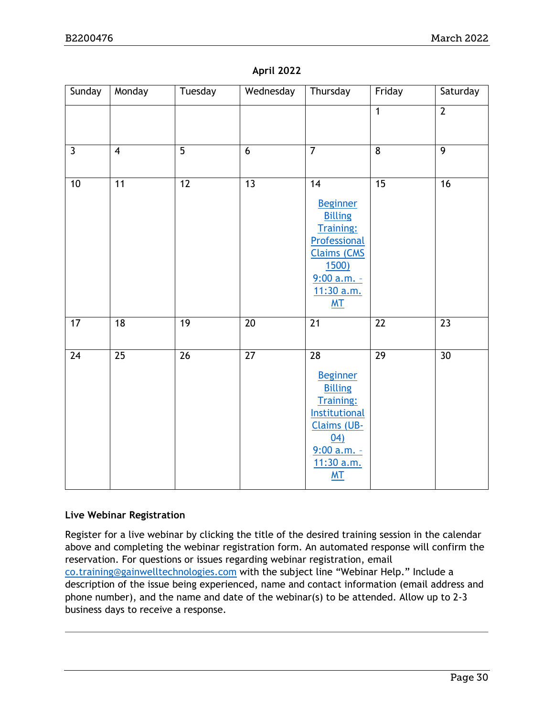| Sunday       | Monday          | Tuesday         | Wednesday       | Thursday                                                                                                                                                           | Friday          | Saturday        |
|--------------|-----------------|-----------------|-----------------|--------------------------------------------------------------------------------------------------------------------------------------------------------------------|-----------------|-----------------|
|              |                 |                 |                 |                                                                                                                                                                    | $\overline{1}$  | $\overline{2}$  |
|              |                 |                 |                 |                                                                                                                                                                    |                 |                 |
| $\mathbf{3}$ | $\overline{4}$  | 5               | $6\,$           | $\overline{7}$                                                                                                                                                     | $\overline{8}$  | $\overline{9}$  |
| 10           | $\overline{11}$ | $\overline{12}$ | 13              | 14<br><b>Beginner</b><br><b>Billing</b><br><b>Training:</b><br>Professional<br><b>Claims (CMS</b><br><u>1500)</u><br>$9:00 a.m. -$<br>11:30 a.m.<br>M <sub>T</sub> | $\overline{15}$ | $\overline{16}$ |
| 17           | 18              | 19              | $\overline{20}$ | 21                                                                                                                                                                 | 22              | 23              |
| 24           | 25              | 26              | 27              | 28<br><b>Beginner</b><br><b>Billing</b><br><b>Training:</b><br><b>Institutional</b><br><b>Claims (UB-</b><br>04)<br>9:00 a.m. -<br>11:30 a.m.<br>M <sub>T</sub>    | $\overline{29}$ | $\overline{30}$ |

#### **April 2022**

#### **Live Webinar Registration**

Register for a live webinar by clicking the title of the desired training session in the calendar above and completing the webinar registration form. An automated response will confirm the reservation. For questions or issues regarding webinar registration, email [co.training@gainwelltechnologies.com](mailto:co.training@gainwelltechnologies.com) with the subject line "Webinar Help." Include a description of the issue being experienced, name and contact information (email address and phone number), and the name and date of the webinar(s) to be attended. Allow up to 2-3 business days to receive a response.